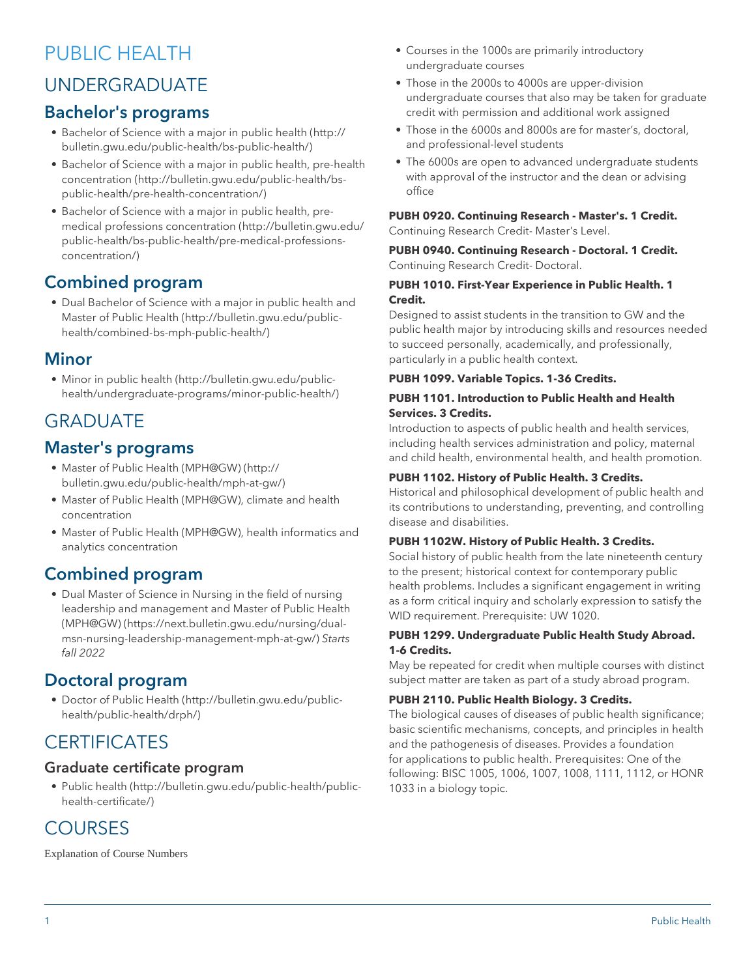# PUBLIC HEALTH

# UNDERGRADUATE

# Bachelor's programs

- [Bachelor of Science with a major in public health](http://bulletin.gwu.edu/public-health/bs-public-health/) ([http://](http://bulletin.gwu.edu/public-health/bs-public-health/) [bulletin.gwu.edu/public-health/bs-public-health/](http://bulletin.gwu.edu/public-health/bs-public-health/))
- [Bachelor of Science with a major in public health, pre-health](http://bulletin.gwu.edu/public-health/bs-public-health/pre-health-concentration/) [concentration](http://bulletin.gwu.edu/public-health/bs-public-health/pre-health-concentration/) ([http://bulletin.gwu.edu/public-health/bs](http://bulletin.gwu.edu/public-health/bs-public-health/pre-health-concentration/)[public-health/pre-health-concentration/](http://bulletin.gwu.edu/public-health/bs-public-health/pre-health-concentration/))
- [Bachelor of Science with a major in public health, pre](http://bulletin.gwu.edu/public-health/bs-public-health/pre-medical-professions-concentration/)[medical professions concentration](http://bulletin.gwu.edu/public-health/bs-public-health/pre-medical-professions-concentration/) [\(http://bulletin.gwu.edu/](http://bulletin.gwu.edu/public-health/bs-public-health/pre-medical-professions-concentration/) [public-health/bs-public-health/pre-medical-professions](http://bulletin.gwu.edu/public-health/bs-public-health/pre-medical-professions-concentration/)[concentration/](http://bulletin.gwu.edu/public-health/bs-public-health/pre-medical-professions-concentration/))

# Combined program

• [Dual Bachelor of Science with a major in public health and](http://bulletin.gwu.edu/public-health/combined-bs-mph-public-health/) [Master of Public Health](http://bulletin.gwu.edu/public-health/combined-bs-mph-public-health/) ([http://bulletin.gwu.edu/public](http://bulletin.gwu.edu/public-health/combined-bs-mph-public-health/)[health/combined-bs-mph-public-health/\)](http://bulletin.gwu.edu/public-health/combined-bs-mph-public-health/)

# **Minor**

• [Minor in public health](http://bulletin.gwu.edu/public-health/undergraduate-programs/minor-public-health/) ([http://bulletin.gwu.edu/public](http://bulletin.gwu.edu/public-health/undergraduate-programs/minor-public-health/)[health/undergraduate-programs/minor-public-health/\)](http://bulletin.gwu.edu/public-health/undergraduate-programs/minor-public-health/)

# GRADUATE

# Master's programs

- [Master of Public Health \(MPH@GW\)](http://bulletin.gwu.edu/public-health/mph-at-gw/) [\(http://](http://bulletin.gwu.edu/public-health/mph-at-gw/) [bulletin.gwu.edu/public-health/mph-at-gw/](http://bulletin.gwu.edu/public-health/mph-at-gw/))
- Master of Public Health (MPH@GW), climate and health concentration
- Master of Public Health (MPH@GW), health informatics and analytics concentration

# Combined program

• [Dual Master of Science in Nursing in the field of nursing](https://next.bulletin.gwu.edu/nursing/dual-msn-nursing-leadership-management-mph-at-gw/) [leadership and management and Master of Public Health](https://next.bulletin.gwu.edu/nursing/dual-msn-nursing-leadership-management-mph-at-gw/) [\(MPH@GW\)](https://next.bulletin.gwu.edu/nursing/dual-msn-nursing-leadership-management-mph-at-gw/) ([https://next.bulletin.gwu.edu/nursing/dual](https://next.bulletin.gwu.edu/nursing/dual-msn-nursing-leadership-management-mph-at-gw/)[msn-nursing-leadership-management-mph-at-gw/\)](https://next.bulletin.gwu.edu/nursing/dual-msn-nursing-leadership-management-mph-at-gw/) *Starts fall 2022*

# Doctoral program

• [Doctor of Public Health](http://bulletin.gwu.edu/public-health/public-health/drph/) [\(http://bulletin.gwu.edu/public](http://bulletin.gwu.edu/public-health/public-health/drph/)[health/public-health/drph/\)](http://bulletin.gwu.edu/public-health/public-health/drph/)

# **CERTIFICATES**

# Graduate certificate program

• [Public health](http://bulletin.gwu.edu/public-health/public-health-certificate/) ([http://bulletin.gwu.edu/public-health/public](http://bulletin.gwu.edu/public-health/public-health-certificate/)[health-certificate/\)](http://bulletin.gwu.edu/public-health/public-health-certificate/)

# **COURSES**

Explanation of Course Numbers

- Courses in the 1000s are primarily introductory undergraduate courses
- Those in the 2000s to 4000s are upper-division undergraduate courses that also may be taken for graduate credit with permission and additional work assigned
- Those in the 6000s and 8000s are for master's, doctoral, and professional-level students
- The 6000s are open to advanced undergraduate students with approval of the instructor and the dean or advising office

#### **PUBH 0920. Continuing Research - Master's. 1 Credit.** Continuing Research Credit- Master's Level.

**PUBH 0940. Continuing Research - Doctoral. 1 Credit.** Continuing Research Credit- Doctoral.

## **PUBH 1010. First-Year Experience in Public Health. 1 Credit.**

Designed to assist students in the transition to GW and the public health major by introducing skills and resources needed to succeed personally, academically, and professionally, particularly in a public health context.

## **PUBH 1099. Variable Topics. 1-36 Credits.**

## **PUBH 1101. Introduction to Public Health and Health Services. 3 Credits.**

Introduction to aspects of public health and health services, including health services administration and policy, maternal and child health, environmental health, and health promotion.

## **PUBH 1102. History of Public Health. 3 Credits.**

Historical and philosophical development of public health and its contributions to understanding, preventing, and controlling disease and disabilities.

## **PUBH 1102W. History of Public Health. 3 Credits.**

Social history of public health from the late nineteenth century to the present; historical context for contemporary public health problems. Includes a significant engagement in writing as a form critical inquiry and scholarly expression to satisfy the WID requirement. Prerequisite: UW 1020.

## **PUBH 1299. Undergraduate Public Health Study Abroad. 1-6 Credits.**

May be repeated for credit when multiple courses with distinct subject matter are taken as part of a study abroad program.

## **PUBH 2110. Public Health Biology. 3 Credits.**

The biological causes of diseases of public health significance; basic scientific mechanisms, concepts, and principles in health and the pathogenesis of diseases. Provides a foundation for applications to public health. Prerequisites: One of the following: BISC 1005, 1006, 1007, 1008, 1111, 1112, or HONR 1033 in a biology topic.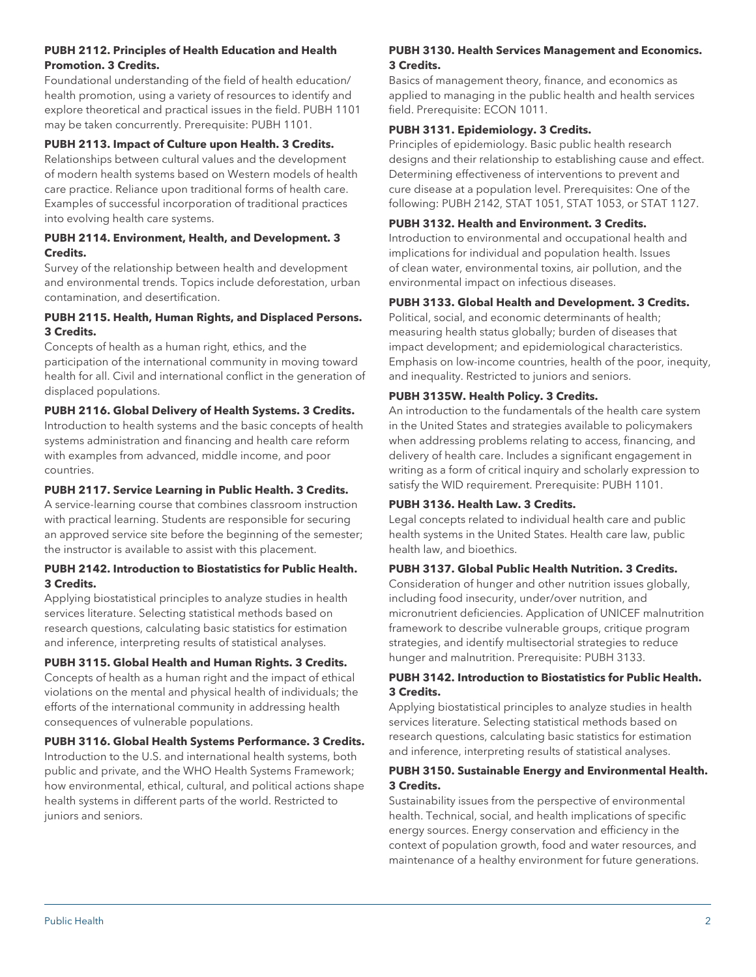## **PUBH 2112. Principles of Health Education and Health Promotion. 3 Credits.**

Foundational understanding of the field of health education/ health promotion, using a variety of resources to identify and explore theoretical and practical issues in the field. PUBH 1101 may be taken concurrently. Prerequisite: PUBH 1101.

## **PUBH 2113. Impact of Culture upon Health. 3 Credits.**

Relationships between cultural values and the development of modern health systems based on Western models of health care practice. Reliance upon traditional forms of health care. Examples of successful incorporation of traditional practices into evolving health care systems.

#### **PUBH 2114. Environment, Health, and Development. 3 Credits.**

Survey of the relationship between health and development and environmental trends. Topics include deforestation, urban contamination, and desertification.

#### **PUBH 2115. Health, Human Rights, and Displaced Persons. 3 Credits.**

Concepts of health as a human right, ethics, and the participation of the international community in moving toward health for all. Civil and international conflict in the generation of displaced populations.

## **PUBH 2116. Global Delivery of Health Systems. 3 Credits.**

Introduction to health systems and the basic concepts of health systems administration and financing and health care reform with examples from advanced, middle income, and poor countries.

#### **PUBH 2117. Service Learning in Public Health. 3 Credits.**

A service-learning course that combines classroom instruction with practical learning. Students are responsible for securing an approved service site before the beginning of the semester; the instructor is available to assist with this placement.

#### **PUBH 2142. Introduction to Biostatistics for Public Health. 3 Credits.**

Applying biostatistical principles to analyze studies in health services literature. Selecting statistical methods based on research questions, calculating basic statistics for estimation and inference, interpreting results of statistical analyses.

## **PUBH 3115. Global Health and Human Rights. 3 Credits.**

Concepts of health as a human right and the impact of ethical violations on the mental and physical health of individuals; the efforts of the international community in addressing health consequences of vulnerable populations.

#### **PUBH 3116. Global Health Systems Performance. 3 Credits.**

Introduction to the U.S. and international health systems, both public and private, and the WHO Health Systems Framework; how environmental, ethical, cultural, and political actions shape health systems in different parts of the world. Restricted to juniors and seniors.

## **PUBH 3130. Health Services Management and Economics. 3 Credits.**

Basics of management theory, finance, and economics as applied to managing in the public health and health services field. Prerequisite: ECON 1011.

## **PUBH 3131. Epidemiology. 3 Credits.**

Principles of epidemiology. Basic public health research designs and their relationship to establishing cause and effect. Determining effectiveness of interventions to prevent and cure disease at a population level. Prerequisites: One of the following: PUBH 2142, STAT 1051, STAT 1053, or STAT 1127.

## **PUBH 3132. Health and Environment. 3 Credits.**

Introduction to environmental and occupational health and implications for individual and population health. Issues of clean water, environmental toxins, air pollution, and the environmental impact on infectious diseases.

## **PUBH 3133. Global Health and Development. 3 Credits.**

Political, social, and economic determinants of health; measuring health status globally; burden of diseases that impact development; and epidemiological characteristics. Emphasis on low-income countries, health of the poor, inequity, and inequality. Restricted to juniors and seniors.

## **PUBH 3135W. Health Policy. 3 Credits.**

An introduction to the fundamentals of the health care system in the United States and strategies available to policymakers when addressing problems relating to access, financing, and delivery of health care. Includes a significant engagement in writing as a form of critical inquiry and scholarly expression to satisfy the WID requirement. Prerequisite: PUBH 1101.

## **PUBH 3136. Health Law. 3 Credits.**

Legal concepts related to individual health care and public health systems in the United States. Health care law, public health law, and bioethics.

## **PUBH 3137. Global Public Health Nutrition. 3 Credits.**

Consideration of hunger and other nutrition issues globally, including food insecurity, under/over nutrition, and micronutrient deficiencies. Application of UNICEF malnutrition framework to describe vulnerable groups, critique program strategies, and identify multisectorial strategies to reduce hunger and malnutrition. Prerequisite: PUBH 3133.

## **PUBH 3142. Introduction to Biostatistics for Public Health. 3 Credits.**

Applying biostatistical principles to analyze studies in health services literature. Selecting statistical methods based on research questions, calculating basic statistics for estimation and inference, interpreting results of statistical analyses.

## **PUBH 3150. Sustainable Energy and Environmental Health. 3 Credits.**

Sustainability issues from the perspective of environmental health. Technical, social, and health implications of specific energy sources. Energy conservation and efficiency in the context of population growth, food and water resources, and maintenance of a healthy environment for future generations.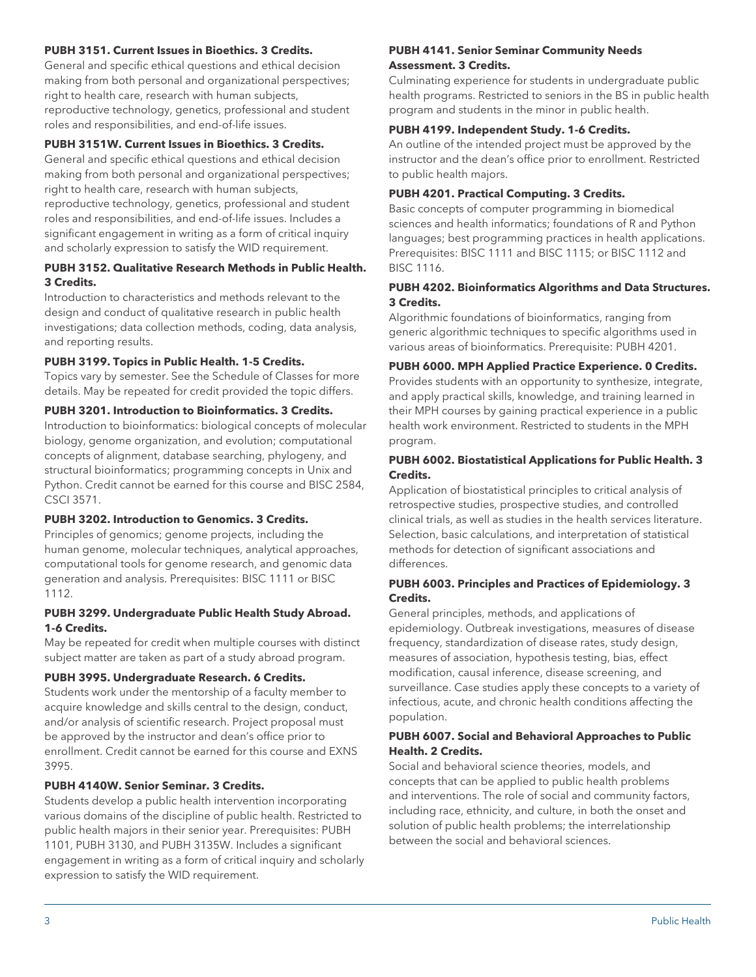#### **PUBH 3151. Current Issues in Bioethics. 3 Credits.**

General and specific ethical questions and ethical decision making from both personal and organizational perspectives; right to health care, research with human subjects, reproductive technology, genetics, professional and student roles and responsibilities, and end-of-life issues.

#### **PUBH 3151W. Current Issues in Bioethics. 3 Credits.**

General and specific ethical questions and ethical decision making from both personal and organizational perspectives; right to health care, research with human subjects, reproductive technology, genetics, professional and student roles and responsibilities, and end-of-life issues. Includes a significant engagement in writing as a form of critical inquiry and scholarly expression to satisfy the WID requirement.

## **PUBH 3152. Qualitative Research Methods in Public Health. 3 Credits.**

Introduction to characteristics and methods relevant to the design and conduct of qualitative research in public health investigations; data collection methods, coding, data analysis, and reporting results.

#### **PUBH 3199. Topics in Public Health. 1-5 Credits.**

Topics vary by semester. See the Schedule of Classes for more details. May be repeated for credit provided the topic differs.

#### **PUBH 3201. Introduction to Bioinformatics. 3 Credits.**

Introduction to bioinformatics: biological concepts of molecular biology, genome organization, and evolution; computational concepts of alignment, database searching, phylogeny, and structural bioinformatics; programming concepts in Unix and Python. Credit cannot be earned for this course and BISC 2584, CSCI 3571.

#### **PUBH 3202. Introduction to Genomics. 3 Credits.**

Principles of genomics; genome projects, including the human genome, molecular techniques, analytical approaches, computational tools for genome research, and genomic data generation and analysis. Prerequisites: BISC 1111 or BISC 1112.

#### **PUBH 3299. Undergraduate Public Health Study Abroad. 1-6 Credits.**

May be repeated for credit when multiple courses with distinct subject matter are taken as part of a study abroad program.

#### **PUBH 3995. Undergraduate Research. 6 Credits.**

Students work under the mentorship of a faculty member to acquire knowledge and skills central to the design, conduct, and/or analysis of scientific research. Project proposal must be approved by the instructor and dean's office prior to enrollment. Credit cannot be earned for this course and EXNS 3995.

## **PUBH 4140W. Senior Seminar. 3 Credits.**

Students develop a public health intervention incorporating various domains of the discipline of public health. Restricted to public health majors in their senior year. Prerequisites: PUBH 1101, PUBH 3130, and PUBH 3135W. Includes a significant engagement in writing as a form of critical inquiry and scholarly expression to satisfy the WID requirement.

#### **PUBH 4141. Senior Seminar Community Needs Assessment. 3 Credits.**

Culminating experience for students in undergraduate public health programs. Restricted to seniors in the BS in public health program and students in the minor in public health.

#### **PUBH 4199. Independent Study. 1-6 Credits.**

An outline of the intended project must be approved by the instructor and the dean's office prior to enrollment. Restricted to public health majors.

#### **PUBH 4201. Practical Computing. 3 Credits.**

Basic concepts of computer programming in biomedical sciences and health informatics; foundations of R and Python languages; best programming practices in health applications. Prerequisites: BISC 1111 and BISC 1115; or BISC 1112 and BISC 1116.

#### **PUBH 4202. Bioinformatics Algorithms and Data Structures. 3 Credits.**

Algorithmic foundations of bioinformatics, ranging from generic algorithmic techniques to specific algorithms used in various areas of bioinformatics. Prerequisite: PUBH 4201.

#### **PUBH 6000. MPH Applied Practice Experience. 0 Credits.**

Provides students with an opportunity to synthesize, integrate, and apply practical skills, knowledge, and training learned in their MPH courses by gaining practical experience in a public health work environment. Restricted to students in the MPH program.

#### **PUBH 6002. Biostatistical Applications for Public Health. 3 Credits.**

Application of biostatistical principles to critical analysis of retrospective studies, prospective studies, and controlled clinical trials, as well as studies in the health services literature. Selection, basic calculations, and interpretation of statistical methods for detection of significant associations and differences.

#### **PUBH 6003. Principles and Practices of Epidemiology. 3 Credits.**

General principles, methods, and applications of epidemiology. Outbreak investigations, measures of disease frequency, standardization of disease rates, study design, measures of association, hypothesis testing, bias, effect modification, causal inference, disease screening, and surveillance. Case studies apply these concepts to a variety of infectious, acute, and chronic health conditions affecting the population.

#### **PUBH 6007. Social and Behavioral Approaches to Public Health. 2 Credits.**

Social and behavioral science theories, models, and concepts that can be applied to public health problems and interventions. The role of social and community factors, including race, ethnicity, and culture, in both the onset and solution of public health problems; the interrelationship between the social and behavioral sciences.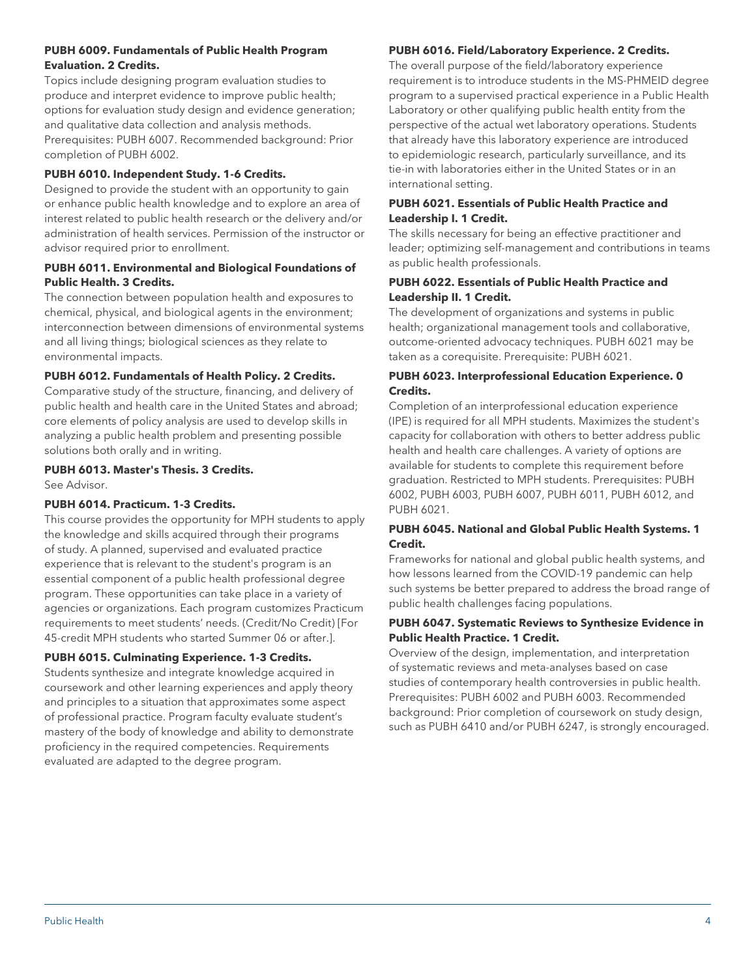## **PUBH 6009. Fundamentals of Public Health Program Evaluation. 2 Credits.**

Topics include designing program evaluation studies to produce and interpret evidence to improve public health; options for evaluation study design and evidence generation; and qualitative data collection and analysis methods. Prerequisites: PUBH 6007. Recommended background: Prior completion of PUBH 6002.

## **PUBH 6010. Independent Study. 1-6 Credits.**

Designed to provide the student with an opportunity to gain or enhance public health knowledge and to explore an area of interest related to public health research or the delivery and/or administration of health services. Permission of the instructor or advisor required prior to enrollment.

## **PUBH 6011. Environmental and Biological Foundations of Public Health. 3 Credits.**

The connection between population health and exposures to chemical, physical, and biological agents in the environment; interconnection between dimensions of environmental systems and all living things; biological sciences as they relate to environmental impacts.

## **PUBH 6012. Fundamentals of Health Policy. 2 Credits.**

Comparative study of the structure, financing, and delivery of public health and health care in the United States and abroad; core elements of policy analysis are used to develop skills in analyzing a public health problem and presenting possible solutions both orally and in writing.

#### **PUBH 6013. Master's Thesis. 3 Credits.** See Advisor.

#### **PUBH 6014. Practicum. 1-3 Credits.**

This course provides the opportunity for MPH students to apply the knowledge and skills acquired through their programs of study. A planned, supervised and evaluated practice experience that is relevant to the student's program is an essential component of a public health professional degree program. These opportunities can take place in a variety of agencies or organizations. Each program customizes Practicum requirements to meet students' needs. (Credit/No Credit) [For 45-credit MPH students who started Summer 06 or after.].

## **PUBH 6015. Culminating Experience. 1-3 Credits.**

Students synthesize and integrate knowledge acquired in coursework and other learning experiences and apply theory and principles to a situation that approximates some aspect of professional practice. Program faculty evaluate student's mastery of the body of knowledge and ability to demonstrate proficiency in the required competencies. Requirements evaluated are adapted to the degree program.

## **PUBH 6016. Field/Laboratory Experience. 2 Credits.**

The overall purpose of the field/laboratory experience requirement is to introduce students in the MS-PHMEID degree program to a supervised practical experience in a Public Health Laboratory or other qualifying public health entity from the perspective of the actual wet laboratory operations. Students that already have this laboratory experience are introduced to epidemiologic research, particularly surveillance, and its tie-in with laboratories either in the United States or in an international setting.

## **PUBH 6021. Essentials of Public Health Practice and Leadership I. 1 Credit.**

The skills necessary for being an effective practitioner and leader; optimizing self-management and contributions in teams as public health professionals.

## **PUBH 6022. Essentials of Public Health Practice and Leadership II. 1 Credit.**

The development of organizations and systems in public health; organizational management tools and collaborative, outcome-oriented advocacy techniques. PUBH 6021 may be taken as a corequisite. Prerequisite: PUBH 6021.

## **PUBH 6023. Interprofessional Education Experience. 0 Credits.**

Completion of an interprofessional education experience (IPE) is required for all MPH students. Maximizes the student's capacity for collaboration with others to better address public health and health care challenges. A variety of options are available for students to complete this requirement before graduation. Restricted to MPH students. Prerequisites: PUBH 6002, PUBH 6003, PUBH 6007, PUBH 6011, PUBH 6012, and PUBH 6021.

## **PUBH 6045. National and Global Public Health Systems. 1 Credit.**

Frameworks for national and global public health systems, and how lessons learned from the COVID-19 pandemic can help such systems be better prepared to address the broad range of public health challenges facing populations.

## **PUBH 6047. Systematic Reviews to Synthesize Evidence in Public Health Practice. 1 Credit.**

Overview of the design, implementation, and interpretation of systematic reviews and meta-analyses based on case studies of contemporary health controversies in public health. Prerequisites: PUBH 6002 and PUBH 6003. Recommended background: Prior completion of coursework on study design, such as PUBH 6410 and/or PUBH 6247, is strongly encouraged.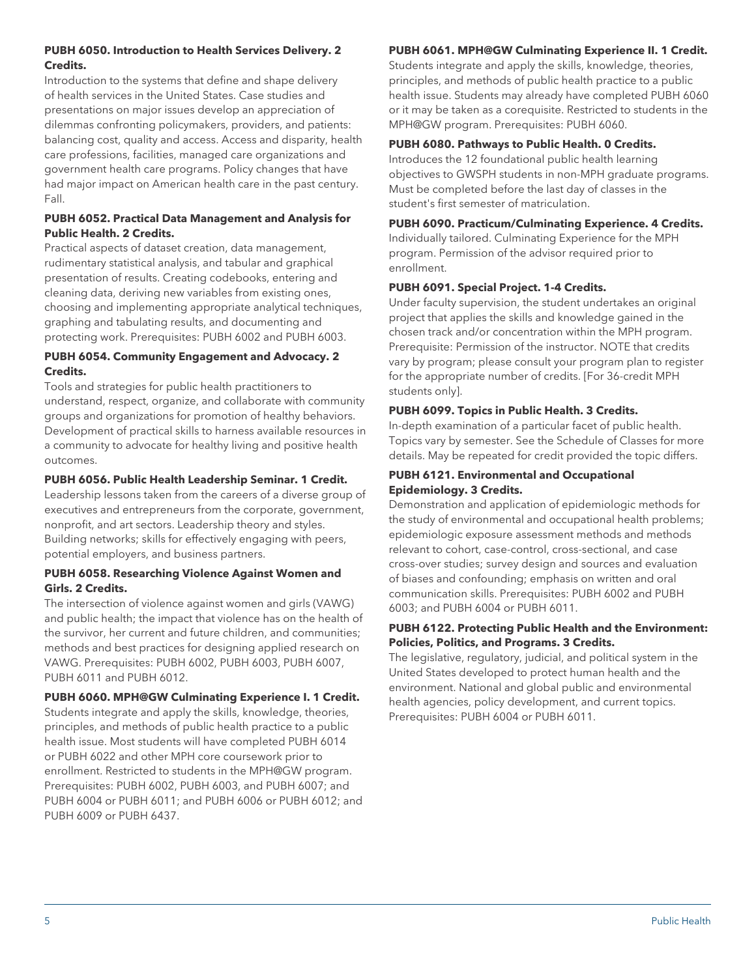## **PUBH 6050. Introduction to Health Services Delivery. 2 Credits.**

Introduction to the systems that define and shape delivery of health services in the United States. Case studies and presentations on major issues develop an appreciation of dilemmas confronting policymakers, providers, and patients: balancing cost, quality and access. Access and disparity, health care professions, facilities, managed care organizations and government health care programs. Policy changes that have had major impact on American health care in the past century. Fall.

## **PUBH 6052. Practical Data Management and Analysis for Public Health. 2 Credits.**

Practical aspects of dataset creation, data management, rudimentary statistical analysis, and tabular and graphical presentation of results. Creating codebooks, entering and cleaning data, deriving new variables from existing ones, choosing and implementing appropriate analytical techniques, graphing and tabulating results, and documenting and protecting work. Prerequisites: PUBH 6002 and PUBH 6003.

## **PUBH 6054. Community Engagement and Advocacy. 2 Credits.**

Tools and strategies for public health practitioners to understand, respect, organize, and collaborate with community groups and organizations for promotion of healthy behaviors. Development of practical skills to harness available resources in a community to advocate for healthy living and positive health outcomes.

## **PUBH 6056. Public Health Leadership Seminar. 1 Credit.**

Leadership lessons taken from the careers of a diverse group of executives and entrepreneurs from the corporate, government, nonprofit, and art sectors. Leadership theory and styles. Building networks; skills for effectively engaging with peers, potential employers, and business partners.

## **PUBH 6058. Researching Violence Against Women and Girls. 2 Credits.**

The intersection of violence against women and girls (VAWG) and public health; the impact that violence has on the health of the survivor, her current and future children, and communities; methods and best practices for designing applied research on VAWG. Prerequisites: PUBH 6002, PUBH 6003, PUBH 6007, PUBH 6011 and PUBH 6012.

## **PUBH 6060. MPH@GW Culminating Experience I. 1 Credit.**

Students integrate and apply the skills, knowledge, theories, principles, and methods of public health practice to a public health issue. Most students will have completed PUBH 6014 or PUBH 6022 and other MPH core coursework prior to enrollment. Restricted to students in the MPH@GW program. Prerequisites: PUBH 6002, PUBH 6003, and PUBH 6007; and PUBH 6004 or PUBH 6011; and PUBH 6006 or PUBH 6012; and PUBH 6009 or PUBH 6437.

# **PUBH 6061. MPH@GW Culminating Experience II. 1 Credit.**

Students integrate and apply the skills, knowledge, theories, principles, and methods of public health practice to a public health issue. Students may already have completed PUBH 6060 or it may be taken as a corequisite. Restricted to students in the MPH@GW program. Prerequisites: PUBH 6060.

# **PUBH 6080. Pathways to Public Health. 0 Credits.**

Introduces the 12 foundational public health learning objectives to GWSPH students in non-MPH graduate programs. Must be completed before the last day of classes in the student's first semester of matriculation.

**PUBH 6090. Practicum/Culminating Experience. 4 Credits.**

Individually tailored. Culminating Experience for the MPH program. Permission of the advisor required prior to enrollment.

# **PUBH 6091. Special Project. 1-4 Credits.**

Under faculty supervision, the student undertakes an original project that applies the skills and knowledge gained in the chosen track and/or concentration within the MPH program. Prerequisite: Permission of the instructor. NOTE that credits vary by program; please consult your program plan to register for the appropriate number of credits. [For 36-credit MPH students only].

# **PUBH 6099. Topics in Public Health. 3 Credits.**

In-depth examination of a particular facet of public health. Topics vary by semester. See the Schedule of Classes for more details. May be repeated for credit provided the topic differs.

## **PUBH 6121. Environmental and Occupational Epidemiology. 3 Credits.**

Demonstration and application of epidemiologic methods for the study of environmental and occupational health problems; epidemiologic exposure assessment methods and methods relevant to cohort, case-control, cross-sectional, and case cross-over studies; survey design and sources and evaluation of biases and confounding; emphasis on written and oral communication skills. Prerequisites: PUBH 6002 and PUBH 6003; and PUBH 6004 or PUBH 6011.

## **PUBH 6122. Protecting Public Health and the Environment: Policies, Politics, and Programs. 3 Credits.**

The legislative, regulatory, judicial, and political system in the United States developed to protect human health and the environment. National and global public and environmental health agencies, policy development, and current topics. Prerequisites: PUBH 6004 or PUBH 6011.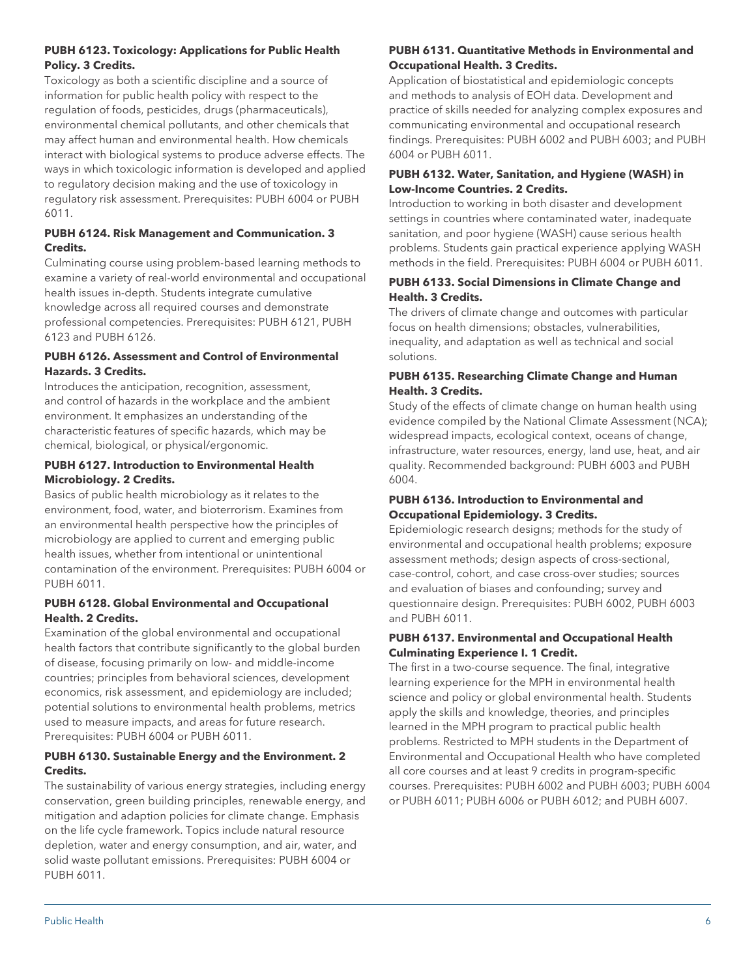## **PUBH 6123. Toxicology: Applications for Public Health Policy. 3 Credits.**

Toxicology as both a scientific discipline and a source of information for public health policy with respect to the regulation of foods, pesticides, drugs (pharmaceuticals), environmental chemical pollutants, and other chemicals that may affect human and environmental health. How chemicals interact with biological systems to produce adverse effects. The ways in which toxicologic information is developed and applied to regulatory decision making and the use of toxicology in regulatory risk assessment. Prerequisites: PUBH 6004 or PUBH 6011.

## **PUBH 6124. Risk Management and Communication. 3 Credits.**

Culminating course using problem-based learning methods to examine a variety of real-world environmental and occupational health issues in-depth. Students integrate cumulative knowledge across all required courses and demonstrate professional competencies. Prerequisites: PUBH 6121, PUBH 6123 and PUBH 6126.

## **PUBH 6126. Assessment and Control of Environmental Hazards. 3 Credits.**

Introduces the anticipation, recognition, assessment, and control of hazards in the workplace and the ambient environment. It emphasizes an understanding of the characteristic features of specific hazards, which may be chemical, biological, or physical/ergonomic.

## **PUBH 6127. Introduction to Environmental Health Microbiology. 2 Credits.**

Basics of public health microbiology as it relates to the environment, food, water, and bioterrorism. Examines from an environmental health perspective how the principles of microbiology are applied to current and emerging public health issues, whether from intentional or unintentional contamination of the environment. Prerequisites: PUBH 6004 or PUBH 6011.

## **PUBH 6128. Global Environmental and Occupational Health. 2 Credits.**

Examination of the global environmental and occupational health factors that contribute significantly to the global burden of disease, focusing primarily on low- and middle-income countries; principles from behavioral sciences, development economics, risk assessment, and epidemiology are included; potential solutions to environmental health problems, metrics used to measure impacts, and areas for future research. Prerequisites: PUBH 6004 or PUBH 6011.

## **PUBH 6130. Sustainable Energy and the Environment. 2 Credits.**

The sustainability of various energy strategies, including energy conservation, green building principles, renewable energy, and mitigation and adaption policies for climate change. Emphasis on the life cycle framework. Topics include natural resource depletion, water and energy consumption, and air, water, and solid waste pollutant emissions. Prerequisites: PUBH 6004 or PUBH 6011.

## **PUBH 6131. Quantitative Methods in Environmental and Occupational Health. 3 Credits.**

Application of biostatistical and epidemiologic concepts and methods to analysis of EOH data. Development and practice of skills needed for analyzing complex exposures and communicating environmental and occupational research findings. Prerequisites: PUBH 6002 and PUBH 6003; and PUBH 6004 or PUBH 6011.

## **PUBH 6132. Water, Sanitation, and Hygiene (WASH) in Low-Income Countries. 2 Credits.**

Introduction to working in both disaster and development settings in countries where contaminated water, inadequate sanitation, and poor hygiene (WASH) cause serious health problems. Students gain practical experience applying WASH methods in the field. Prerequisites: PUBH 6004 or PUBH 6011.

## **PUBH 6133. Social Dimensions in Climate Change and Health. 3 Credits.**

The drivers of climate change and outcomes with particular focus on health dimensions; obstacles, vulnerabilities, inequality, and adaptation as well as technical and social solutions.

## **PUBH 6135. Researching Climate Change and Human Health. 3 Credits.**

Study of the effects of climate change on human health using evidence compiled by the National Climate Assessment (NCA); widespread impacts, ecological context, oceans of change, infrastructure, water resources, energy, land use, heat, and air quality. Recommended background: PUBH 6003 and PUBH 6004.

## **PUBH 6136. Introduction to Environmental and Occupational Epidemiology. 3 Credits.**

Epidemiologic research designs; methods for the study of environmental and occupational health problems; exposure assessment methods; design aspects of cross-sectional, case-control, cohort, and case cross-over studies; sources and evaluation of biases and confounding; survey and questionnaire design. Prerequisites: PUBH 6002, PUBH 6003 and PUBH 6011.

## **PUBH 6137. Environmental and Occupational Health Culminating Experience I. 1 Credit.**

The first in a two-course sequence. The final, integrative learning experience for the MPH in environmental health science and policy or global environmental health. Students apply the skills and knowledge, theories, and principles learned in the MPH program to practical public health problems. Restricted to MPH students in the Department of Environmental and Occupational Health who have completed all core courses and at least 9 credits in program-specific courses. Prerequisites: PUBH 6002 and PUBH 6003; PUBH 6004 or PUBH 6011; PUBH 6006 or PUBH 6012; and PUBH 6007.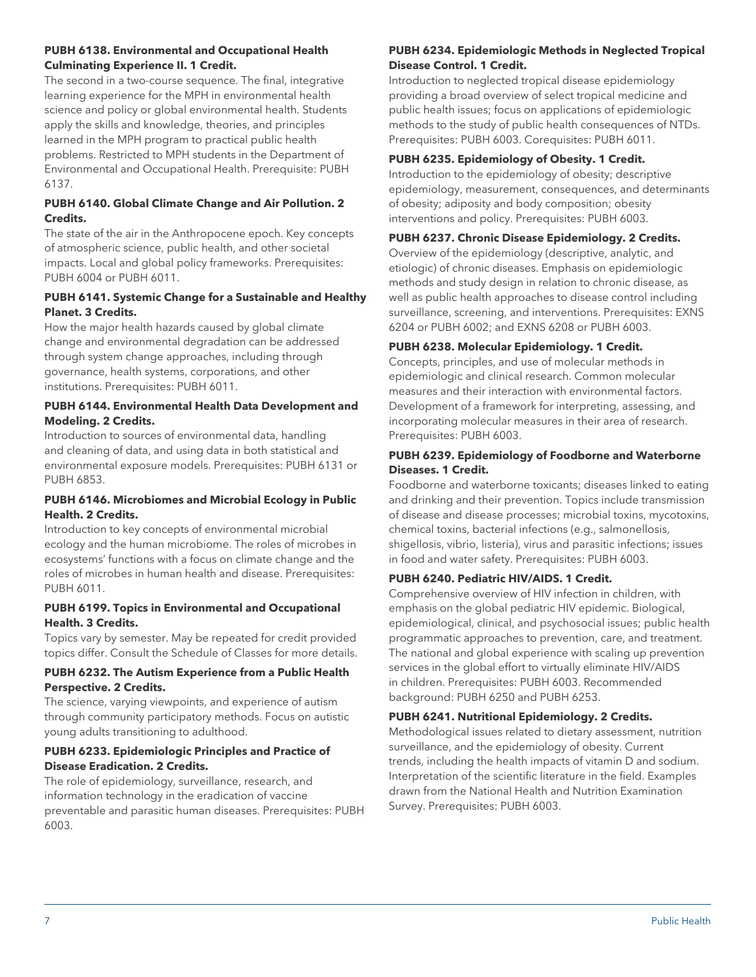#### **PUBH 6138. Environmental and Occupational Health Culminating Experience II. 1 Credit.**

The second in a two-course sequence. The final, integrative learning experience for the MPH in environmental health science and policy or global environmental health. Students apply the skills and knowledge, theories, and principles learned in the MPH program to practical public health problems. Restricted to MPH students in the Department of Environmental and Occupational Health. Prerequisite: PUBH 6137.

## **PUBH 6140. Global Climate Change and Air Pollution. 2 Credits.**

The state of the air in the Anthropocene epoch. Key concepts of atmospheric science, public health, and other societal impacts. Local and global policy frameworks. Prerequisites: PUBH 6004 or PUBH 6011.

## **PUBH 6141. Systemic Change for a Sustainable and Healthy Planet. 3 Credits.**

How the major health hazards caused by global climate change and environmental degradation can be addressed through system change approaches, including through governance, health systems, corporations, and other institutions. Prerequisites: PUBH 6011.

## **PUBH 6144. Environmental Health Data Development and Modeling. 2 Credits.**

Introduction to sources of environmental data, handling and cleaning of data, and using data in both statistical and environmental exposure models. Prerequisites: PUBH 6131 or PUBH 6853.

## **PUBH 6146. Microbiomes and Microbial Ecology in Public Health. 2 Credits.**

Introduction to key concepts of environmental microbial ecology and the human microbiome. The roles of microbes in ecosystems' functions with a focus on climate change and the roles of microbes in human health and disease. Prerequisites: PUBH 6011.

## **PUBH 6199. Topics in Environmental and Occupational Health. 3 Credits.**

Topics vary by semester. May be repeated for credit provided topics differ. Consult the Schedule of Classes for more details.

## **PUBH 6232. The Autism Experience from a Public Health Perspective. 2 Credits.**

The science, varying viewpoints, and experience of autism through community participatory methods. Focus on autistic young adults transitioning to adulthood.

## **PUBH 6233. Epidemiologic Principles and Practice of Disease Eradication. 2 Credits.**

The role of epidemiology, surveillance, research, and information technology in the eradication of vaccine preventable and parasitic human diseases. Prerequisites: PUBH 6003.

## **PUBH 6234. Epidemiologic Methods in Neglected Tropical Disease Control. 1 Credit.**

Introduction to neglected tropical disease epidemiology providing a broad overview of select tropical medicine and public health issues; focus on applications of epidemiologic methods to the study of public health consequences of NTDs. Prerequisites: PUBH 6003. Corequisites: PUBH 6011.

## **PUBH 6235. Epidemiology of Obesity. 1 Credit.**

Introduction to the epidemiology of obesity; descriptive epidemiology, measurement, consequences, and determinants of obesity; adiposity and body composition; obesity interventions and policy. Prerequisites: PUBH 6003.

## **PUBH 6237. Chronic Disease Epidemiology. 2 Credits.**

Overview of the epidemiology (descriptive, analytic, and etiologic) of chronic diseases. Emphasis on epidemiologic methods and study design in relation to chronic disease, as well as public health approaches to disease control including surveillance, screening, and interventions. Prerequisites: EXNS 6204 or PUBH 6002; and EXNS 6208 or PUBH 6003.

## **PUBH 6238. Molecular Epidemiology. 1 Credit.**

Concepts, principles, and use of molecular methods in epidemiologic and clinical research. Common molecular measures and their interaction with environmental factors. Development of a framework for interpreting, assessing, and incorporating molecular measures in their area of research. Prerequisites: PUBH 6003.

## **PUBH 6239. Epidemiology of Foodborne and Waterborne Diseases. 1 Credit.**

Foodborne and waterborne toxicants; diseases linked to eating and drinking and their prevention. Topics include transmission of disease and disease processes; microbial toxins, mycotoxins, chemical toxins, bacterial infections (e.g., salmonellosis, shigellosis, vibrio, listeria), virus and parasitic infections; issues in food and water safety. Prerequisites: PUBH 6003.

## **PUBH 6240. Pediatric HIV/AIDS. 1 Credit.**

Comprehensive overview of HIV infection in children, with emphasis on the global pediatric HIV epidemic. Biological, epidemiological, clinical, and psychosocial issues; public health programmatic approaches to prevention, care, and treatment. The national and global experience with scaling up prevention services in the global effort to virtually eliminate HIV/AIDS in children. Prerequisites: PUBH 6003. Recommended background: PUBH 6250 and PUBH 6253.

## **PUBH 6241. Nutritional Epidemiology. 2 Credits.**

Methodological issues related to dietary assessment, nutrition surveillance, and the epidemiology of obesity. Current trends, including the health impacts of vitamin D and sodium. Interpretation of the scientific literature in the field. Examples drawn from the National Health and Nutrition Examination Survey. Prerequisites: PUBH 6003.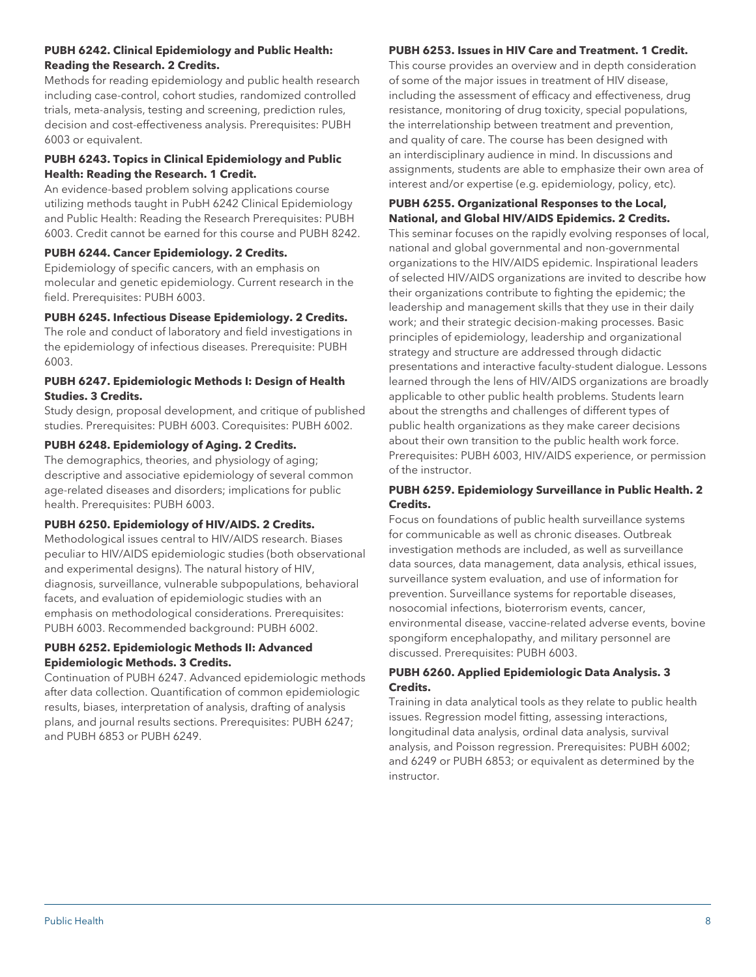#### **PUBH 6242. Clinical Epidemiology and Public Health: Reading the Research. 2 Credits.**

Methods for reading epidemiology and public health research including case-control, cohort studies, randomized controlled trials, meta-analysis, testing and screening, prediction rules, decision and cost-effectiveness analysis. Prerequisites: PUBH 6003 or equivalent.

## **PUBH 6243. Topics in Clinical Epidemiology and Public Health: Reading the Research. 1 Credit.**

An evidence-based problem solving applications course utilizing methods taught in PubH 6242 Clinical Epidemiology and Public Health: Reading the Research Prerequisites: PUBH 6003. Credit cannot be earned for this course and PUBH 8242.

## **PUBH 6244. Cancer Epidemiology. 2 Credits.**

Epidemiology of specific cancers, with an emphasis on molecular and genetic epidemiology. Current research in the field. Prerequisites: PUBH 6003.

## **PUBH 6245. Infectious Disease Epidemiology. 2 Credits.**

The role and conduct of laboratory and field investigations in the epidemiology of infectious diseases. Prerequisite: PUBH 6003.

## **PUBH 6247. Epidemiologic Methods I: Design of Health Studies. 3 Credits.**

Study design, proposal development, and critique of published studies. Prerequisites: PUBH 6003. Corequisites: PUBH 6002.

## **PUBH 6248. Epidemiology of Aging. 2 Credits.**

The demographics, theories, and physiology of aging; descriptive and associative epidemiology of several common age-related diseases and disorders; implications for public health. Prerequisites: PUBH 6003.

## **PUBH 6250. Epidemiology of HIV/AIDS. 2 Credits.**

Methodological issues central to HIV/AIDS research. Biases peculiar to HIV/AIDS epidemiologic studies (both observational and experimental designs). The natural history of HIV, diagnosis, surveillance, vulnerable subpopulations, behavioral facets, and evaluation of epidemiologic studies with an emphasis on methodological considerations. Prerequisites: PUBH 6003. Recommended background: PUBH 6002.

## **PUBH 6252. Epidemiologic Methods II: Advanced Epidemiologic Methods. 3 Credits.**

Continuation of PUBH 6247. Advanced epidemiologic methods after data collection. Quantification of common epidemiologic results, biases, interpretation of analysis, drafting of analysis plans, and journal results sections. Prerequisites: PUBH 6247; and PUBH 6853 or PUBH 6249.

## **PUBH 6253. Issues in HIV Care and Treatment. 1 Credit.**

This course provides an overview and in depth consideration of some of the major issues in treatment of HIV disease, including the assessment of efficacy and effectiveness, drug resistance, monitoring of drug toxicity, special populations, the interrelationship between treatment and prevention, and quality of care. The course has been designed with an interdisciplinary audience in mind. In discussions and assignments, students are able to emphasize their own area of interest and/or expertise (e.g. epidemiology, policy, etc).

## **PUBH 6255. Organizational Responses to the Local, National, and Global HIV/AIDS Epidemics. 2 Credits.**

This seminar focuses on the rapidly evolving responses of local, national and global governmental and non-governmental organizations to the HIV/AIDS epidemic. Inspirational leaders of selected HIV/AIDS organizations are invited to describe how their organizations contribute to fighting the epidemic; the leadership and management skills that they use in their daily work; and their strategic decision-making processes. Basic principles of epidemiology, leadership and organizational strategy and structure are addressed through didactic presentations and interactive faculty-student dialogue. Lessons learned through the lens of HIV/AIDS organizations are broadly applicable to other public health problems. Students learn about the strengths and challenges of different types of public health organizations as they make career decisions about their own transition to the public health work force. Prerequisites: PUBH 6003, HIV/AIDS experience, or permission of the instructor.

## **PUBH 6259. Epidemiology Surveillance in Public Health. 2 Credits.**

Focus on foundations of public health surveillance systems for communicable as well as chronic diseases. Outbreak investigation methods are included, as well as surveillance data sources, data management, data analysis, ethical issues, surveillance system evaluation, and use of information for prevention. Surveillance systems for reportable diseases, nosocomial infections, bioterrorism events, cancer, environmental disease, vaccine-related adverse events, bovine spongiform encephalopathy, and military personnel are discussed. Prerequisites: PUBH 6003.

## **PUBH 6260. Applied Epidemiologic Data Analysis. 3 Credits.**

Training in data analytical tools as they relate to public health issues. Regression model fitting, assessing interactions, longitudinal data analysis, ordinal data analysis, survival analysis, and Poisson regression. Prerequisites: PUBH 6002; and 6249 or PUBH 6853; or equivalent as determined by the instructor.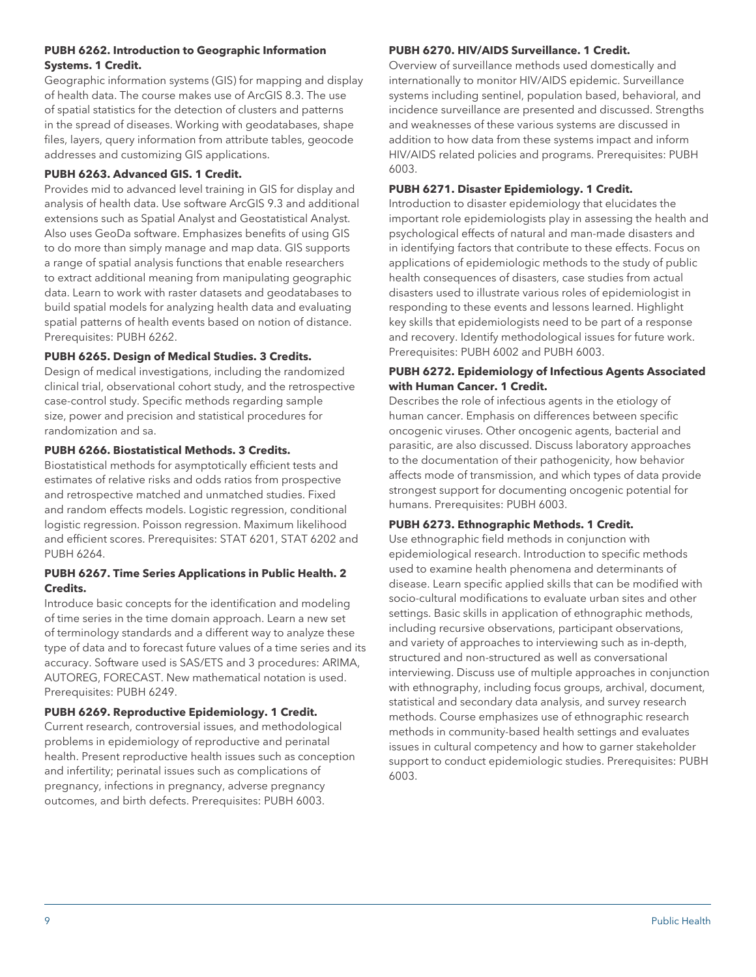## **PUBH 6262. Introduction to Geographic Information Systems. 1 Credit.**

Geographic information systems (GIS) for mapping and display of health data. The course makes use of ArcGIS 8.3. The use of spatial statistics for the detection of clusters and patterns in the spread of diseases. Working with geodatabases, shape files, layers, query information from attribute tables, geocode addresses and customizing GIS applications.

## **PUBH 6263. Advanced GIS. 1 Credit.**

Provides mid to advanced level training in GIS for display and analysis of health data. Use software ArcGIS 9.3 and additional extensions such as Spatial Analyst and Geostatistical Analyst. Also uses GeoDa software. Emphasizes benefits of using GIS to do more than simply manage and map data. GIS supports a range of spatial analysis functions that enable researchers to extract additional meaning from manipulating geographic data. Learn to work with raster datasets and geodatabases to build spatial models for analyzing health data and evaluating spatial patterns of health events based on notion of distance. Prerequisites: PUBH 6262.

## **PUBH 6265. Design of Medical Studies. 3 Credits.**

Design of medical investigations, including the randomized clinical trial, observational cohort study, and the retrospective case-control study. Specific methods regarding sample size, power and precision and statistical procedures for randomization and sa.

## **PUBH 6266. Biostatistical Methods. 3 Credits.**

Biostatistical methods for asymptotically efficient tests and estimates of relative risks and odds ratios from prospective and retrospective matched and unmatched studies. Fixed and random effects models. Logistic regression, conditional logistic regression. Poisson regression. Maximum likelihood and efficient scores. Prerequisites: STAT 6201, STAT 6202 and PUBH 6264.

## **PUBH 6267. Time Series Applications in Public Health. 2 Credits.**

Introduce basic concepts for the identification and modeling of time series in the time domain approach. Learn a new set of terminology standards and a different way to analyze these type of data and to forecast future values of a time series and its accuracy. Software used is SAS/ETS and 3 procedures: ARIMA, AUTOREG, FORECAST. New mathematical notation is used. Prerequisites: PUBH 6249.

## **PUBH 6269. Reproductive Epidemiology. 1 Credit.**

Current research, controversial issues, and methodological problems in epidemiology of reproductive and perinatal health. Present reproductive health issues such as conception and infertility; perinatal issues such as complications of pregnancy, infections in pregnancy, adverse pregnancy outcomes, and birth defects. Prerequisites: PUBH 6003.

## **PUBH 6270. HIV/AIDS Surveillance. 1 Credit.**

Overview of surveillance methods used domestically and internationally to monitor HIV/AIDS epidemic. Surveillance systems including sentinel, population based, behavioral, and incidence surveillance are presented and discussed. Strengths and weaknesses of these various systems are discussed in addition to how data from these systems impact and inform HIV/AIDS related policies and programs. Prerequisites: PUBH 6003.

#### **PUBH 6271. Disaster Epidemiology. 1 Credit.**

Introduction to disaster epidemiology that elucidates the important role epidemiologists play in assessing the health and psychological effects of natural and man-made disasters and in identifying factors that contribute to these effects. Focus on applications of epidemiologic methods to the study of public health consequences of disasters, case studies from actual disasters used to illustrate various roles of epidemiologist in responding to these events and lessons learned. Highlight key skills that epidemiologists need to be part of a response and recovery. Identify methodological issues for future work. Prerequisites: PUBH 6002 and PUBH 6003.

#### **PUBH 6272. Epidemiology of Infectious Agents Associated with Human Cancer. 1 Credit.**

Describes the role of infectious agents in the etiology of human cancer. Emphasis on differences between specific oncogenic viruses. Other oncogenic agents, bacterial and parasitic, are also discussed. Discuss laboratory approaches to the documentation of their pathogenicity, how behavior affects mode of transmission, and which types of data provide strongest support for documenting oncogenic potential for humans. Prerequisites: PUBH 6003.

## **PUBH 6273. Ethnographic Methods. 1 Credit.**

Use ethnographic field methods in conjunction with epidemiological research. Introduction to specific methods used to examine health phenomena and determinants of disease. Learn specific applied skills that can be modified with socio-cultural modifications to evaluate urban sites and other settings. Basic skills in application of ethnographic methods, including recursive observations, participant observations, and variety of approaches to interviewing such as in-depth, structured and non-structured as well as conversational interviewing. Discuss use of multiple approaches in conjunction with ethnography, including focus groups, archival, document, statistical and secondary data analysis, and survey research methods. Course emphasizes use of ethnographic research methods in community-based health settings and evaluates issues in cultural competency and how to garner stakeholder support to conduct epidemiologic studies. Prerequisites: PUBH 6003.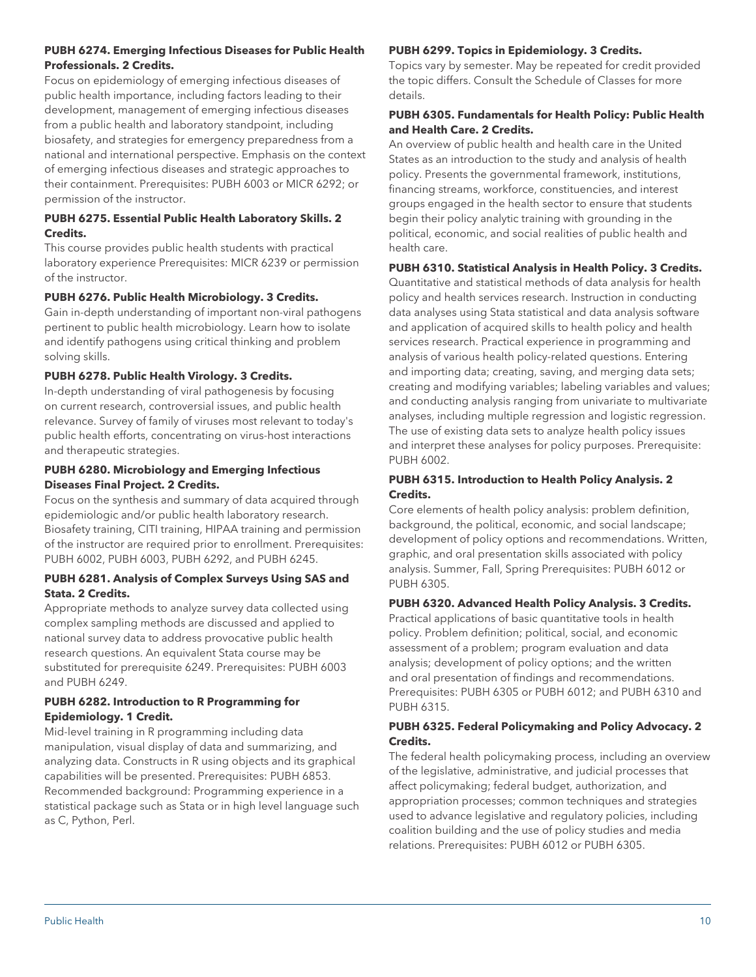## **PUBH 6274. Emerging Infectious Diseases for Public Health Professionals. 2 Credits.**

Focus on epidemiology of emerging infectious diseases of public health importance, including factors leading to their development, management of emerging infectious diseases from a public health and laboratory standpoint, including biosafety, and strategies for emergency preparedness from a national and international perspective. Emphasis on the context of emerging infectious diseases and strategic approaches to their containment. Prerequisites: PUBH 6003 or MICR 6292; or permission of the instructor.

## **PUBH 6275. Essential Public Health Laboratory Skills. 2 Credits.**

This course provides public health students with practical laboratory experience Prerequisites: MICR 6239 or permission of the instructor.

## **PUBH 6276. Public Health Microbiology. 3 Credits.**

Gain in-depth understanding of important non-viral pathogens pertinent to public health microbiology. Learn how to isolate and identify pathogens using critical thinking and problem solving skills.

## **PUBH 6278. Public Health Virology. 3 Credits.**

In-depth understanding of viral pathogenesis by focusing on current research, controversial issues, and public health relevance. Survey of family of viruses most relevant to today's public health efforts, concentrating on virus-host interactions and therapeutic strategies.

## **PUBH 6280. Microbiology and Emerging Infectious Diseases Final Project. 2 Credits.**

Focus on the synthesis and summary of data acquired through epidemiologic and/or public health laboratory research. Biosafety training, CITI training, HIPAA training and permission of the instructor are required prior to enrollment. Prerequisites: PUBH 6002, PUBH 6003, PUBH 6292, and PUBH 6245.

## **PUBH 6281. Analysis of Complex Surveys Using SAS and Stata. 2 Credits.**

Appropriate methods to analyze survey data collected using complex sampling methods are discussed and applied to national survey data to address provocative public health research questions. An equivalent Stata course may be substituted for prerequisite 6249. Prerequisites: PUBH 6003 and PUBH 6249.

## **PUBH 6282. Introduction to R Programming for Epidemiology. 1 Credit.**

Mid-level training in R programming including data manipulation, visual display of data and summarizing, and analyzing data. Constructs in R using objects and its graphical capabilities will be presented. Prerequisites: PUBH 6853. Recommended background: Programming experience in a statistical package such as Stata or in high level language such as C, Python, Perl.

## **PUBH 6299. Topics in Epidemiology. 3 Credits.**

Topics vary by semester. May be repeated for credit provided the topic differs. Consult the Schedule of Classes for more details.

## **PUBH 6305. Fundamentals for Health Policy: Public Health and Health Care. 2 Credits.**

An overview of public health and health care in the United States as an introduction to the study and analysis of health policy. Presents the governmental framework, institutions, financing streams, workforce, constituencies, and interest groups engaged in the health sector to ensure that students begin their policy analytic training with grounding in the political, economic, and social realities of public health and health care.

## **PUBH 6310. Statistical Analysis in Health Policy. 3 Credits.**

Quantitative and statistical methods of data analysis for health policy and health services research. Instruction in conducting data analyses using Stata statistical and data analysis software and application of acquired skills to health policy and health services research. Practical experience in programming and analysis of various health policy-related questions. Entering and importing data; creating, saving, and merging data sets; creating and modifying variables; labeling variables and values; and conducting analysis ranging from univariate to multivariate analyses, including multiple regression and logistic regression. The use of existing data sets to analyze health policy issues and interpret these analyses for policy purposes. Prerequisite: PUBH 6002.

## **PUBH 6315. Introduction to Health Policy Analysis. 2 Credits.**

Core elements of health policy analysis: problem definition, background, the political, economic, and social landscape; development of policy options and recommendations. Written, graphic, and oral presentation skills associated with policy analysis. Summer, Fall, Spring Prerequisites: PUBH 6012 or PUBH 6305.

## **PUBH 6320. Advanced Health Policy Analysis. 3 Credits.**

Practical applications of basic quantitative tools in health policy. Problem definition; political, social, and economic assessment of a problem; program evaluation and data analysis; development of policy options; and the written and oral presentation of findings and recommendations. Prerequisites: PUBH 6305 or PUBH 6012; and PUBH 6310 and PUBH 6315.

## **PUBH 6325. Federal Policymaking and Policy Advocacy. 2 Credits.**

The federal health policymaking process, including an overview of the legislative, administrative, and judicial processes that affect policymaking; federal budget, authorization, and appropriation processes; common techniques and strategies used to advance legislative and regulatory policies, including coalition building and the use of policy studies and media relations. Prerequisites: PUBH 6012 or PUBH 6305.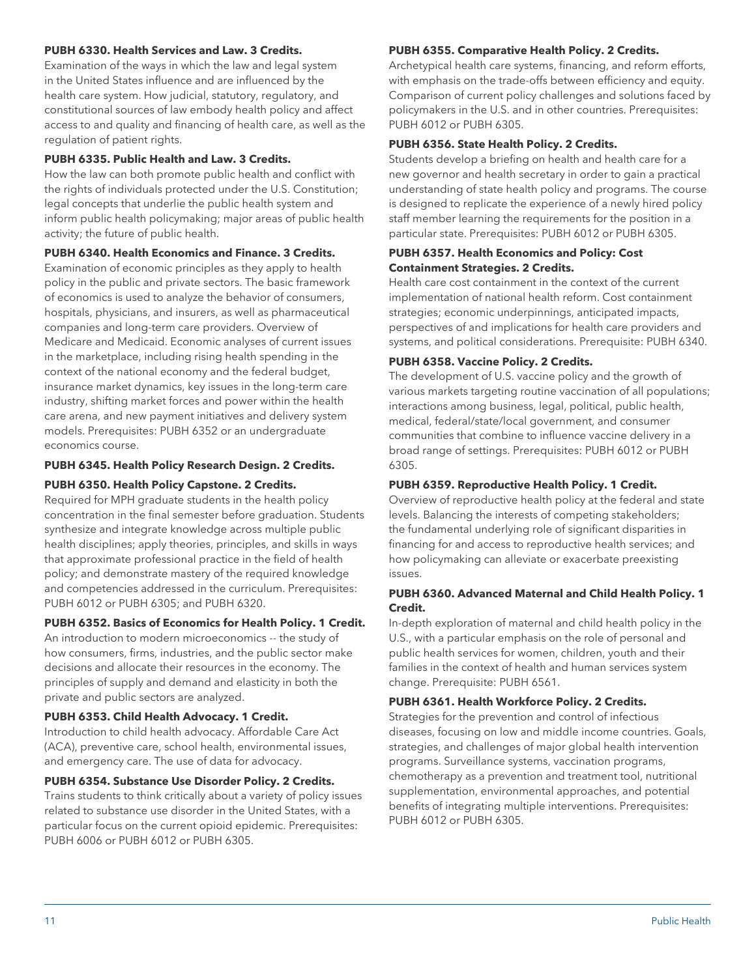#### **PUBH 6330. Health Services and Law. 3 Credits.**

Examination of the ways in which the law and legal system in the United States influence and are influenced by the health care system. How judicial, statutory, regulatory, and constitutional sources of law embody health policy and affect access to and quality and financing of health care, as well as the regulation of patient rights.

#### **PUBH 6335. Public Health and Law. 3 Credits.**

How the law can both promote public health and conflict with the rights of individuals protected under the U.S. Constitution; legal concepts that underlie the public health system and inform public health policymaking; major areas of public health activity; the future of public health.

#### **PUBH 6340. Health Economics and Finance. 3 Credits.**

Examination of economic principles as they apply to health policy in the public and private sectors. The basic framework of economics is used to analyze the behavior of consumers, hospitals, physicians, and insurers, as well as pharmaceutical companies and long-term care providers. Overview of Medicare and Medicaid. Economic analyses of current issues in the marketplace, including rising health spending in the context of the national economy and the federal budget, insurance market dynamics, key issues in the long-term care industry, shifting market forces and power within the health care arena, and new payment initiatives and delivery system models. Prerequisites: PUBH 6352 or an undergraduate economics course.

#### **PUBH 6345. Health Policy Research Design. 2 Credits.**

#### **PUBH 6350. Health Policy Capstone. 2 Credits.**

Required for MPH graduate students in the health policy concentration in the final semester before graduation. Students synthesize and integrate knowledge across multiple public health disciplines; apply theories, principles, and skills in ways that approximate professional practice in the field of health policy; and demonstrate mastery of the required knowledge and competencies addressed in the curriculum. Prerequisites: PUBH 6012 or PUBH 6305; and PUBH 6320.

#### **PUBH 6352. Basics of Economics for Health Policy. 1 Credit.**

An introduction to modern microeconomics -- the study of how consumers, firms, industries, and the public sector make decisions and allocate their resources in the economy. The principles of supply and demand and elasticity in both the private and public sectors are analyzed.

#### **PUBH 6353. Child Health Advocacy. 1 Credit.**

Introduction to child health advocacy. Affordable Care Act (ACA), preventive care, school health, environmental issues, and emergency care. The use of data for advocacy.

#### **PUBH 6354. Substance Use Disorder Policy. 2 Credits.**

Trains students to think critically about a variety of policy issues related to substance use disorder in the United States, with a particular focus on the current opioid epidemic. Prerequisites: PUBH 6006 or PUBH 6012 or PUBH 6305.

#### **PUBH 6355. Comparative Health Policy. 2 Credits.**

Archetypical health care systems, financing, and reform efforts, with emphasis on the trade-offs between efficiency and equity. Comparison of current policy challenges and solutions faced by policymakers in the U.S. and in other countries. Prerequisites: PUBH 6012 or PUBH 6305.

## **PUBH 6356. State Health Policy. 2 Credits.**

Students develop a briefing on health and health care for a new governor and health secretary in order to gain a practical understanding of state health policy and programs. The course is designed to replicate the experience of a newly hired policy staff member learning the requirements for the position in a particular state. Prerequisites: PUBH 6012 or PUBH 6305.

#### **PUBH 6357. Health Economics and Policy: Cost Containment Strategies. 2 Credits.**

Health care cost containment in the context of the current implementation of national health reform. Cost containment strategies; economic underpinnings, anticipated impacts, perspectives of and implications for health care providers and systems, and political considerations. Prerequisite: PUBH 6340.

## **PUBH 6358. Vaccine Policy. 2 Credits.**

The development of U.S. vaccine policy and the growth of various markets targeting routine vaccination of all populations; interactions among business, legal, political, public health, medical, federal/state/local government, and consumer communities that combine to influence vaccine delivery in a broad range of settings. Prerequisites: PUBH 6012 or PUBH 6305.

#### **PUBH 6359. Reproductive Health Policy. 1 Credit.**

Overview of reproductive health policy at the federal and state levels. Balancing the interests of competing stakeholders; the fundamental underlying role of significant disparities in financing for and access to reproductive health services; and how policymaking can alleviate or exacerbate preexisting issues.

#### **PUBH 6360. Advanced Maternal and Child Health Policy. 1 Credit.**

In-depth exploration of maternal and child health policy in the U.S., with a particular emphasis on the role of personal and public health services for women, children, youth and their families in the context of health and human services system change. Prerequisite: PUBH 6561.

#### **PUBH 6361. Health Workforce Policy. 2 Credits.**

Strategies for the prevention and control of infectious diseases, focusing on low and middle income countries. Goals, strategies, and challenges of major global health intervention programs. Surveillance systems, vaccination programs, chemotherapy as a prevention and treatment tool, nutritional supplementation, environmental approaches, and potential benefits of integrating multiple interventions. Prerequisites: PUBH 6012 or PUBH 6305.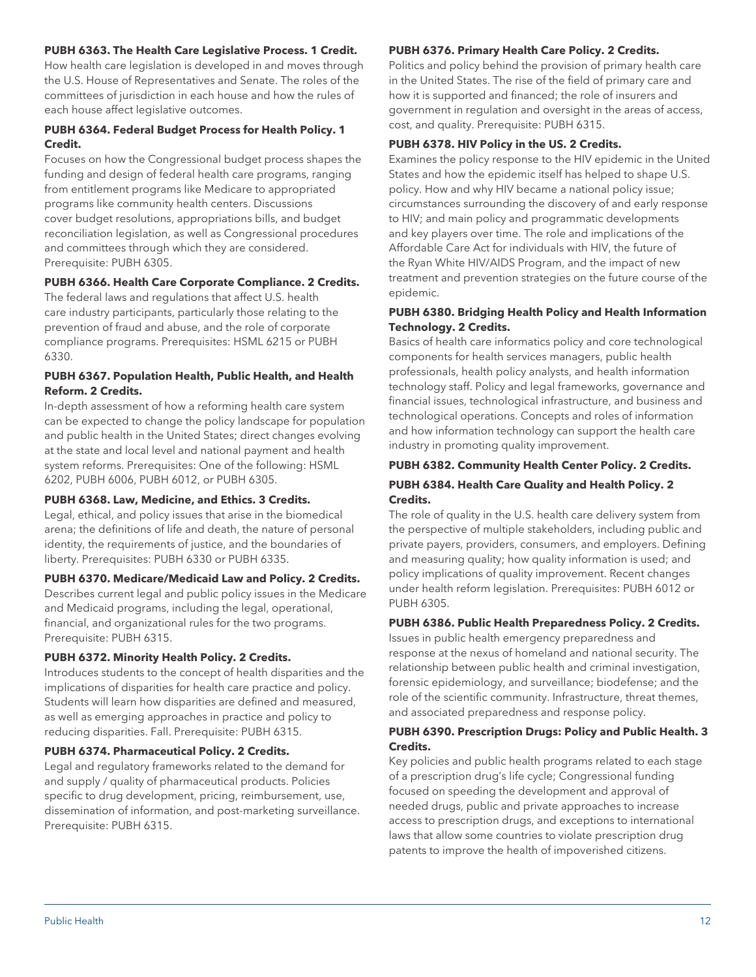#### **PUBH 6363. The Health Care Legislative Process. 1 Credit.**

How health care legislation is developed in and moves through the U.S. House of Representatives and Senate. The roles of the committees of jurisdiction in each house and how the rules of each house affect legislative outcomes.

#### **PUBH 6364. Federal Budget Process for Health Policy. 1 Credit.**

Focuses on how the Congressional budget process shapes the funding and design of federal health care programs, ranging from entitlement programs like Medicare to appropriated programs like community health centers. Discussions cover budget resolutions, appropriations bills, and budget reconciliation legislation, as well as Congressional procedures and committees through which they are considered. Prerequisite: PUBH 6305.

#### **PUBH 6366. Health Care Corporate Compliance. 2 Credits.**

The federal laws and regulations that affect U.S. health care industry participants, particularly those relating to the prevention of fraud and abuse, and the role of corporate compliance programs. Prerequisites: HSML 6215 or PUBH 6330.

#### **PUBH 6367. Population Health, Public Health, and Health Reform. 2 Credits.**

In-depth assessment of how a reforming health care system can be expected to change the policy landscape for population and public health in the United States; direct changes evolving at the state and local level and national payment and health system reforms. Prerequisites: One of the following: HSML 6202, PUBH 6006, PUBH 6012, or PUBH 6305.

#### **PUBH 6368. Law, Medicine, and Ethics. 3 Credits.**

Legal, ethical, and policy issues that arise in the biomedical arena; the definitions of life and death, the nature of personal identity, the requirements of justice, and the boundaries of liberty. Prerequisites: PUBH 6330 or PUBH 6335.

#### **PUBH 6370. Medicare/Medicaid Law and Policy. 2 Credits.**

Describes current legal and public policy issues in the Medicare and Medicaid programs, including the legal, operational, financial, and organizational rules for the two programs. Prerequisite: PUBH 6315.

#### **PUBH 6372. Minority Health Policy. 2 Credits.**

Introduces students to the concept of health disparities and the implications of disparities for health care practice and policy. Students will learn how disparities are defined and measured, as well as emerging approaches in practice and policy to reducing disparities. Fall. Prerequisite: PUBH 6315.

#### **PUBH 6374. Pharmaceutical Policy. 2 Credits.**

Legal and regulatory frameworks related to the demand for and supply / quality of pharmaceutical products. Policies specific to drug development, pricing, reimbursement, use, dissemination of information, and post-marketing surveillance. Prerequisite: PUBH 6315.

#### **PUBH 6376. Primary Health Care Policy. 2 Credits.**

Politics and policy behind the provision of primary health care in the United States. The rise of the field of primary care and how it is supported and financed; the role of insurers and government in regulation and oversight in the areas of access, cost, and quality. Prerequisite: PUBH 6315.

#### **PUBH 6378. HIV Policy in the US. 2 Credits.**

Examines the policy response to the HIV epidemic in the United States and how the epidemic itself has helped to shape U.S. policy. How and why HIV became a national policy issue; circumstances surrounding the discovery of and early response to HIV; and main policy and programmatic developments and key players over time. The role and implications of the Affordable Care Act for individuals with HIV, the future of the Ryan White HIV/AIDS Program, and the impact of new treatment and prevention strategies on the future course of the epidemic.

#### **PUBH 6380. Bridging Health Policy and Health Information Technology. 2 Credits.**

Basics of health care informatics policy and core technological components for health services managers, public health professionals, health policy analysts, and health information technology staff. Policy and legal frameworks, governance and financial issues, technological infrastructure, and business and technological operations. Concepts and roles of information and how information technology can support the health care industry in promoting quality improvement.

## **PUBH 6382. Community Health Center Policy. 2 Credits.**

## **PUBH 6384. Health Care Quality and Health Policy. 2 Credits.**

The role of quality in the U.S. health care delivery system from the perspective of multiple stakeholders, including public and private payers, providers, consumers, and employers. Defining and measuring quality; how quality information is used; and policy implications of quality improvement. Recent changes under health reform legislation. Prerequisites: PUBH 6012 or PUBH 6305.

#### **PUBH 6386. Public Health Preparedness Policy. 2 Credits.**

Issues in public health emergency preparedness and response at the nexus of homeland and national security. The relationship between public health and criminal investigation, forensic epidemiology, and surveillance; biodefense; and the role of the scientific community. Infrastructure, threat themes, and associated preparedness and response policy.

#### **PUBH 6390. Prescription Drugs: Policy and Public Health. 3 Credits.**

Key policies and public health programs related to each stage of a prescription drug's life cycle; Congressional funding focused on speeding the development and approval of needed drugs, public and private approaches to increase access to prescription drugs, and exceptions to international laws that allow some countries to violate prescription drug patents to improve the health of impoverished citizens.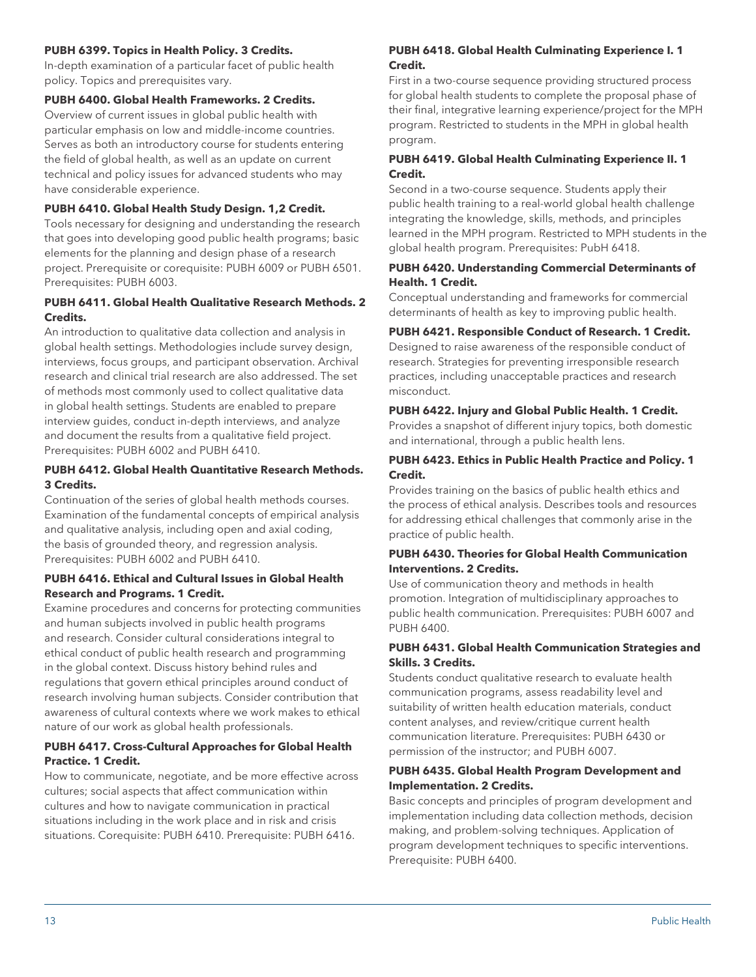## **PUBH 6399. Topics in Health Policy. 3 Credits.**

In-depth examination of a particular facet of public health policy. Topics and prerequisites vary.

## **PUBH 6400. Global Health Frameworks. 2 Credits.**

Overview of current issues in global public health with particular emphasis on low and middle-income countries. Serves as both an introductory course for students entering the field of global health, as well as an update on current technical and policy issues for advanced students who may have considerable experience.

#### **PUBH 6410. Global Health Study Design. 1,2 Credit.**

Tools necessary for designing and understanding the research that goes into developing good public health programs; basic elements for the planning and design phase of a research project. Prerequisite or corequisite: PUBH 6009 or PUBH 6501. Prerequisites: PUBH 6003.

## **PUBH 6411. Global Health Qualitative Research Methods. 2 Credits.**

An introduction to qualitative data collection and analysis in global health settings. Methodologies include survey design, interviews, focus groups, and participant observation. Archival research and clinical trial research are also addressed. The set of methods most commonly used to collect qualitative data in global health settings. Students are enabled to prepare interview guides, conduct in-depth interviews, and analyze and document the results from a qualitative field project. Prerequisites: PUBH 6002 and PUBH 6410.

## **PUBH 6412. Global Health Quantitative Research Methods. 3 Credits.**

Continuation of the series of global health methods courses. Examination of the fundamental concepts of empirical analysis and qualitative analysis, including open and axial coding, the basis of grounded theory, and regression analysis. Prerequisites: PUBH 6002 and PUBH 6410.

## **PUBH 6416. Ethical and Cultural Issues in Global Health Research and Programs. 1 Credit.**

Examine procedures and concerns for protecting communities and human subjects involved in public health programs and research. Consider cultural considerations integral to ethical conduct of public health research and programming in the global context. Discuss history behind rules and regulations that govern ethical principles around conduct of research involving human subjects. Consider contribution that awareness of cultural contexts where we work makes to ethical nature of our work as global health professionals.

## **PUBH 6417. Cross-Cultural Approaches for Global Health Practice. 1 Credit.**

How to communicate, negotiate, and be more effective across cultures; social aspects that affect communication within cultures and how to navigate communication in practical situations including in the work place and in risk and crisis situations. Corequisite: PUBH 6410. Prerequisite: PUBH 6416.

#### **PUBH 6418. Global Health Culminating Experience I. 1 Credit.**

First in a two-course sequence providing structured process for global health students to complete the proposal phase of their final, integrative learning experience/project for the MPH program. Restricted to students in the MPH in global health program.

## **PUBH 6419. Global Health Culminating Experience II. 1 Credit.**

Second in a two-course sequence. Students apply their public health training to a real-world global health challenge integrating the knowledge, skills, methods, and principles learned in the MPH program. Restricted to MPH students in the global health program. Prerequisites: PubH 6418.

#### **PUBH 6420. Understanding Commercial Determinants of Health. 1 Credit.**

Conceptual understanding and frameworks for commercial determinants of health as key to improving public health.

## **PUBH 6421. Responsible Conduct of Research. 1 Credit.**

Designed to raise awareness of the responsible conduct of research. Strategies for preventing irresponsible research practices, including unacceptable practices and research misconduct.

#### **PUBH 6422. Injury and Global Public Health. 1 Credit.**

Provides a snapshot of different injury topics, both domestic and international, through a public health lens.

#### **PUBH 6423. Ethics in Public Health Practice and Policy. 1 Credit.**

Provides training on the basics of public health ethics and the process of ethical analysis. Describes tools and resources for addressing ethical challenges that commonly arise in the practice of public health.

#### **PUBH 6430. Theories for Global Health Communication Interventions. 2 Credits.**

Use of communication theory and methods in health promotion. Integration of multidisciplinary approaches to public health communication. Prerequisites: PUBH 6007 and PUBH 6400.

## **PUBH 6431. Global Health Communication Strategies and Skills. 3 Credits.**

Students conduct qualitative research to evaluate health communication programs, assess readability level and suitability of written health education materials, conduct content analyses, and review/critique current health communication literature. Prerequisites: PUBH 6430 or permission of the instructor; and PUBH 6007.

#### **PUBH 6435. Global Health Program Development and Implementation. 2 Credits.**

Basic concepts and principles of program development and implementation including data collection methods, decision making, and problem-solving techniques. Application of program development techniques to specific interventions. Prerequisite: PUBH 6400.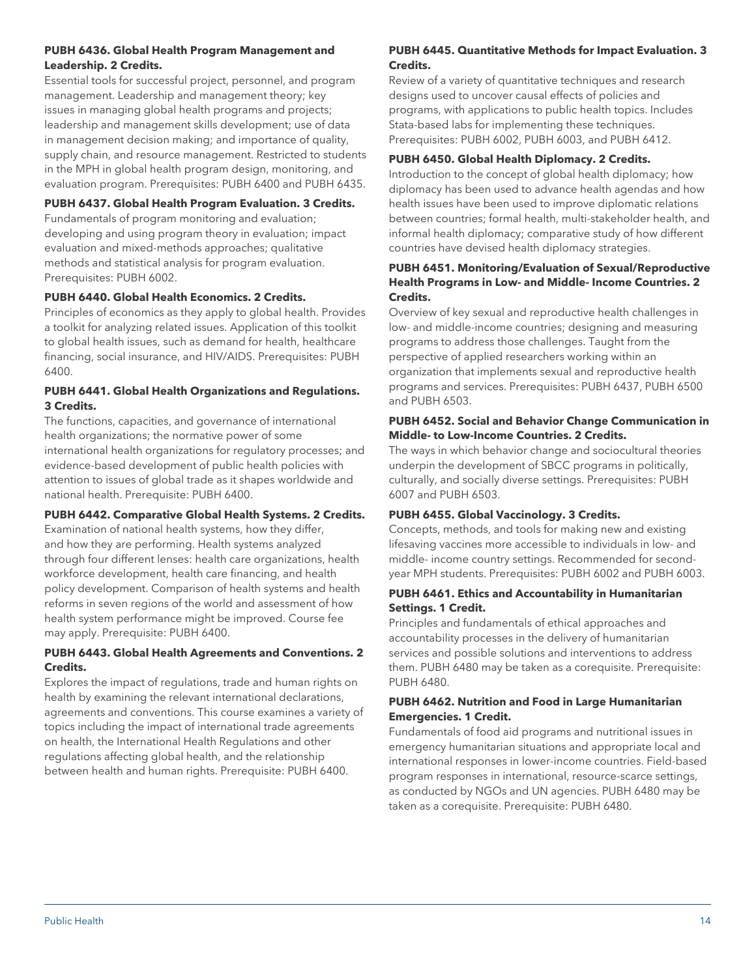## **PUBH 6436. Global Health Program Management and Leadership. 2 Credits.**

Essential tools for successful project, personnel, and program management. Leadership and management theory; key issues in managing global health programs and projects; leadership and management skills development; use of data in management decision making; and importance of quality, supply chain, and resource management. Restricted to students in the MPH in global health program design, monitoring, and evaluation program. Prerequisites: PUBH 6400 and PUBH 6435.

## **PUBH 6437. Global Health Program Evaluation. 3 Credits.**

Fundamentals of program monitoring and evaluation; developing and using program theory in evaluation; impact evaluation and mixed-methods approaches; qualitative methods and statistical analysis for program evaluation. Prerequisites: PUBH 6002.

## **PUBH 6440. Global Health Economics. 2 Credits.**

Principles of economics as they apply to global health. Provides a toolkit for analyzing related issues. Application of this toolkit to global health issues, such as demand for health, healthcare financing, social insurance, and HIV/AIDS. Prerequisites: PUBH 6400.

## **PUBH 6441. Global Health Organizations and Regulations. 3 Credits.**

The functions, capacities, and governance of international health organizations; the normative power of some international health organizations for regulatory processes; and evidence-based development of public health policies with attention to issues of global trade as it shapes worldwide and national health. Prerequisite: PUBH 6400.

#### **PUBH 6442. Comparative Global Health Systems. 2 Credits.**

Examination of national health systems, how they differ, and how they are performing. Health systems analyzed through four different lenses: health care organizations, health workforce development, health care financing, and health policy development. Comparison of health systems and health reforms in seven regions of the world and assessment of how health system performance might be improved. Course fee may apply. Prerequisite: PUBH 6400.

## **PUBH 6443. Global Health Agreements and Conventions. 2 Credits.**

Explores the impact of regulations, trade and human rights on health by examining the relevant international declarations, agreements and conventions. This course examines a variety of topics including the impact of international trade agreements on health, the International Health Regulations and other regulations affecting global health, and the relationship between health and human rights. Prerequisite: PUBH 6400.

## **PUBH 6445. Quantitative Methods for Impact Evaluation. 3 Credits.**

Review of a variety of quantitative techniques and research designs used to uncover causal effects of policies and programs, with applications to public health topics. Includes Stata-based labs for implementing these techniques. Prerequisites: PUBH 6002, PUBH 6003, and PUBH 6412.

## **PUBH 6450. Global Health Diplomacy. 2 Credits.**

Introduction to the concept of global health diplomacy; how diplomacy has been used to advance health agendas and how health issues have been used to improve diplomatic relations between countries; formal health, multi-stakeholder health, and informal health diplomacy; comparative study of how different countries have devised health diplomacy strategies.

## **PUBH 6451. Monitoring/Evaluation of Sexual/Reproductive Health Programs in Low- and Middle- Income Countries. 2 Credits.**

Overview of key sexual and reproductive health challenges in low- and middle-income countries; designing and measuring programs to address those challenges. Taught from the perspective of applied researchers working within an organization that implements sexual and reproductive health programs and services. Prerequisites: PUBH 6437, PUBH 6500 and PUBH 6503.

## **PUBH 6452. Social and Behavior Change Communication in Middle- to Low-Income Countries. 2 Credits.**

The ways in which behavior change and sociocultural theories underpin the development of SBCC programs in politically, culturally, and socially diverse settings. Prerequisites: PUBH 6007 and PUBH 6503.

#### **PUBH 6455. Global Vaccinology. 3 Credits.**

Concepts, methods, and tools for making new and existing lifesaving vaccines more accessible to individuals in low- and middle- income country settings. Recommended for secondyear MPH students. Prerequisites: PUBH 6002 and PUBH 6003.

#### **PUBH 6461. Ethics and Accountability in Humanitarian Settings. 1 Credit.**

Principles and fundamentals of ethical approaches and accountability processes in the delivery of humanitarian services and possible solutions and interventions to address them. PUBH 6480 may be taken as a corequisite. Prerequisite: PUBH 6480.

## **PUBH 6462. Nutrition and Food in Large Humanitarian Emergencies. 1 Credit.**

Fundamentals of food aid programs and nutritional issues in emergency humanitarian situations and appropriate local and international responses in lower-income countries. Field-based program responses in international, resource-scarce settings, as conducted by NGOs and UN agencies. PUBH 6480 may be taken as a corequisite. Prerequisite: PUBH 6480.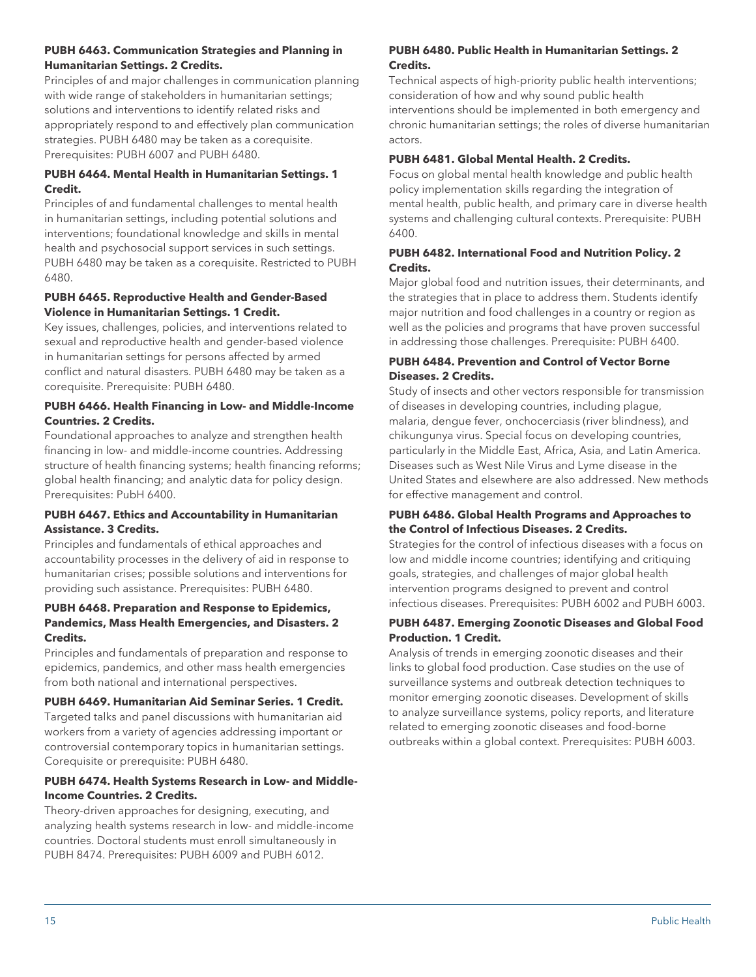## **PUBH 6463. Communication Strategies and Planning in Humanitarian Settings. 2 Credits.**

Principles of and major challenges in communication planning with wide range of stakeholders in humanitarian settings; solutions and interventions to identify related risks and appropriately respond to and effectively plan communication strategies. PUBH 6480 may be taken as a corequisite. Prerequisites: PUBH 6007 and PUBH 6480.

## **PUBH 6464. Mental Health in Humanitarian Settings. 1 Credit.**

Principles of and fundamental challenges to mental health in humanitarian settings, including potential solutions and interventions; foundational knowledge and skills in mental health and psychosocial support services in such settings. PUBH 6480 may be taken as a corequisite. Restricted to PUBH 6480.

## **PUBH 6465. Reproductive Health and Gender-Based Violence in Humanitarian Settings. 1 Credit.**

Key issues, challenges, policies, and interventions related to sexual and reproductive health and gender-based violence in humanitarian settings for persons affected by armed conflict and natural disasters. PUBH 6480 may be taken as a corequisite. Prerequisite: PUBH 6480.

## **PUBH 6466. Health Financing in Low- and Middle-Income Countries. 2 Credits.**

Foundational approaches to analyze and strengthen health financing in low- and middle-income countries. Addressing structure of health financing systems; health financing reforms; global health financing; and analytic data for policy design. Prerequisites: PubH 6400.

## **PUBH 6467. Ethics and Accountability in Humanitarian Assistance. 3 Credits.**

Principles and fundamentals of ethical approaches and accountability processes in the delivery of aid in response to humanitarian crises; possible solutions and interventions for providing such assistance. Prerequisites: PUBH 6480.

## **PUBH 6468. Preparation and Response to Epidemics, Pandemics, Mass Health Emergencies, and Disasters. 2 Credits.**

Principles and fundamentals of preparation and response to epidemics, pandemics, and other mass health emergencies from both national and international perspectives.

## **PUBH 6469. Humanitarian Aid Seminar Series. 1 Credit.**

Targeted talks and panel discussions with humanitarian aid workers from a variety of agencies addressing important or controversial contemporary topics in humanitarian settings. Corequisite or prerequisite: PUBH 6480.

## **PUBH 6474. Health Systems Research in Low- and Middle-Income Countries. 2 Credits.**

Theory-driven approaches for designing, executing, and analyzing health systems research in low- and middle-income countries. Doctoral students must enroll simultaneously in PUBH 8474. Prerequisites: PUBH 6009 and PUBH 6012.

## **PUBH 6480. Public Health in Humanitarian Settings. 2 Credits.**

Technical aspects of high-priority public health interventions; consideration of how and why sound public health interventions should be implemented in both emergency and chronic humanitarian settings; the roles of diverse humanitarian actors.

## **PUBH 6481. Global Mental Health. 2 Credits.**

Focus on global mental health knowledge and public health policy implementation skills regarding the integration of mental health, public health, and primary care in diverse health systems and challenging cultural contexts. Prerequisite: PUBH 6400.

## **PUBH 6482. International Food and Nutrition Policy. 2 Credits.**

Major global food and nutrition issues, their determinants, and the strategies that in place to address them. Students identify major nutrition and food challenges in a country or region as well as the policies and programs that have proven successful in addressing those challenges. Prerequisite: PUBH 6400.

## **PUBH 6484. Prevention and Control of Vector Borne Diseases. 2 Credits.**

Study of insects and other vectors responsible for transmission of diseases in developing countries, including plague, malaria, dengue fever, onchocerciasis (river blindness), and chikungunya virus. Special focus on developing countries, particularly in the Middle East, Africa, Asia, and Latin America. Diseases such as West Nile Virus and Lyme disease in the United States and elsewhere are also addressed. New methods for effective management and control.

## **PUBH 6486. Global Health Programs and Approaches to the Control of Infectious Diseases. 2 Credits.**

Strategies for the control of infectious diseases with a focus on low and middle income countries; identifying and critiquing goals, strategies, and challenges of major global health intervention programs designed to prevent and control infectious diseases. Prerequisites: PUBH 6002 and PUBH 6003.

## **PUBH 6487. Emerging Zoonotic Diseases and Global Food Production. 1 Credit.**

Analysis of trends in emerging zoonotic diseases and their links to global food production. Case studies on the use of surveillance systems and outbreak detection techniques to monitor emerging zoonotic diseases. Development of skills to analyze surveillance systems, policy reports, and literature related to emerging zoonotic diseases and food-borne outbreaks within a global context. Prerequisites: PUBH 6003.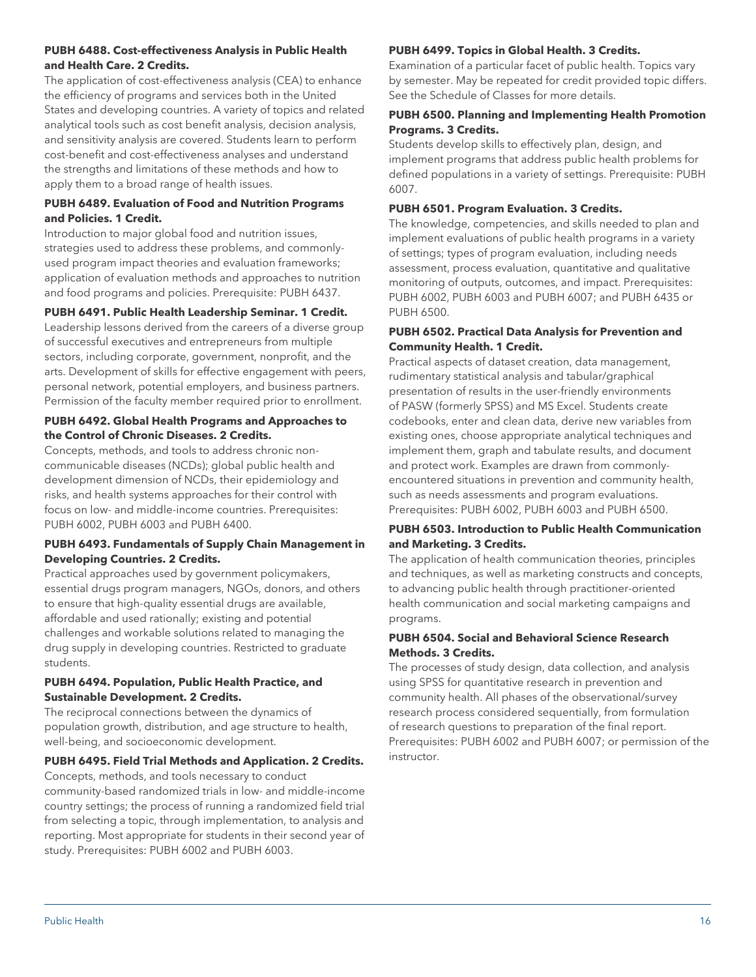## **PUBH 6488. Cost-effectiveness Analysis in Public Health and Health Care. 2 Credits.**

The application of cost-effectiveness analysis (CEA) to enhance the efficiency of programs and services both in the United States and developing countries. A variety of topics and related analytical tools such as cost benefit analysis, decision analysis, and sensitivity analysis are covered. Students learn to perform cost-benefit and cost-effectiveness analyses and understand the strengths and limitations of these methods and how to apply them to a broad range of health issues.

## **PUBH 6489. Evaluation of Food and Nutrition Programs and Policies. 1 Credit.**

Introduction to major global food and nutrition issues, strategies used to address these problems, and commonlyused program impact theories and evaluation frameworks; application of evaluation methods and approaches to nutrition and food programs and policies. Prerequisite: PUBH 6437.

## **PUBH 6491. Public Health Leadership Seminar. 1 Credit.**

Leadership lessons derived from the careers of a diverse group of successful executives and entrepreneurs from multiple sectors, including corporate, government, nonprofit, and the arts. Development of skills for effective engagement with peers, personal network, potential employers, and business partners. Permission of the faculty member required prior to enrollment.

#### **PUBH 6492. Global Health Programs and Approaches to the Control of Chronic Diseases. 2 Credits.**

Concepts, methods, and tools to address chronic noncommunicable diseases (NCDs); global public health and development dimension of NCDs, their epidemiology and risks, and health systems approaches for their control with focus on low- and middle-income countries. Prerequisites: PUBH 6002, PUBH 6003 and PUBH 6400.

## **PUBH 6493. Fundamentals of Supply Chain Management in Developing Countries. 2 Credits.**

Practical approaches used by government policymakers, essential drugs program managers, NGOs, donors, and others to ensure that high-quality essential drugs are available, affordable and used rationally; existing and potential challenges and workable solutions related to managing the drug supply in developing countries. Restricted to graduate students.

## **PUBH 6494. Population, Public Health Practice, and Sustainable Development. 2 Credits.**

The reciprocal connections between the dynamics of population growth, distribution, and age structure to health, well-being, and socioeconomic development.

## **PUBH 6495. Field Trial Methods and Application. 2 Credits.**

Concepts, methods, and tools necessary to conduct community-based randomized trials in low- and middle-income country settings; the process of running a randomized field trial from selecting a topic, through implementation, to analysis and reporting. Most appropriate for students in their second year of study. Prerequisites: PUBH 6002 and PUBH 6003.

## **PUBH 6499. Topics in Global Health. 3 Credits.**

Examination of a particular facet of public health. Topics vary by semester. May be repeated for credit provided topic differs. See the Schedule of Classes for more details.

## **PUBH 6500. Planning and Implementing Health Promotion Programs. 3 Credits.**

Students develop skills to effectively plan, design, and implement programs that address public health problems for defined populations in a variety of settings. Prerequisite: PUBH 6007.

#### **PUBH 6501. Program Evaluation. 3 Credits.**

The knowledge, competencies, and skills needed to plan and implement evaluations of public health programs in a variety of settings; types of program evaluation, including needs assessment, process evaluation, quantitative and qualitative monitoring of outputs, outcomes, and impact. Prerequisites: PUBH 6002, PUBH 6003 and PUBH 6007; and PUBH 6435 or PUBH 6500.

#### **PUBH 6502. Practical Data Analysis for Prevention and Community Health. 1 Credit.**

Practical aspects of dataset creation, data management, rudimentary statistical analysis and tabular/graphical presentation of results in the user-friendly environments of PASW (formerly SPSS) and MS Excel. Students create codebooks, enter and clean data, derive new variables from existing ones, choose appropriate analytical techniques and implement them, graph and tabulate results, and document and protect work. Examples are drawn from commonlyencountered situations in prevention and community health, such as needs assessments and program evaluations. Prerequisites: PUBH 6002, PUBH 6003 and PUBH 6500.

#### **PUBH 6503. Introduction to Public Health Communication and Marketing. 3 Credits.**

The application of health communication theories, principles and techniques, as well as marketing constructs and concepts, to advancing public health through practitioner-oriented health communication and social marketing campaigns and programs.

## **PUBH 6504. Social and Behavioral Science Research Methods. 3 Credits.**

The processes of study design, data collection, and analysis using SPSS for quantitative research in prevention and community health. All phases of the observational/survey research process considered sequentially, from formulation of research questions to preparation of the final report. Prerequisites: PUBH 6002 and PUBH 6007; or permission of the instructor.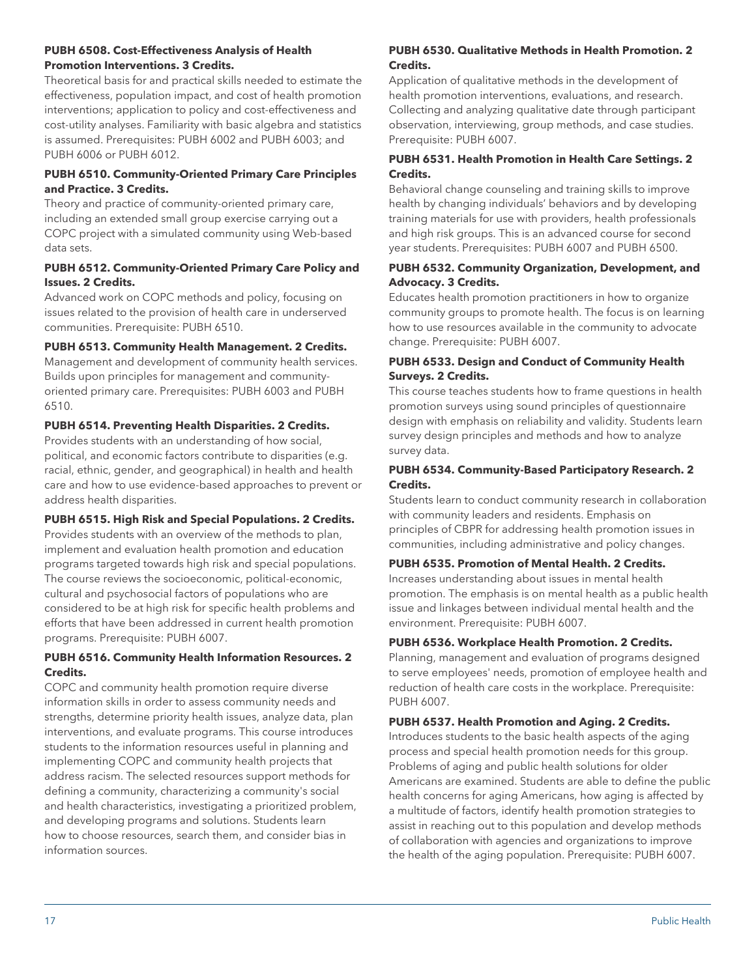#### **PUBH 6508. Cost-Effectiveness Analysis of Health Promotion Interventions. 3 Credits.**

Theoretical basis for and practical skills needed to estimate the effectiveness, population impact, and cost of health promotion interventions; application to policy and cost-effectiveness and cost-utility analyses. Familiarity with basic algebra and statistics is assumed. Prerequisites: PUBH 6002 and PUBH 6003; and PUBH 6006 or PUBH 6012.

## **PUBH 6510. Community-Oriented Primary Care Principles and Practice. 3 Credits.**

Theory and practice of community-oriented primary care, including an extended small group exercise carrying out a COPC project with a simulated community using Web-based data sets.

## **PUBH 6512. Community-Oriented Primary Care Policy and Issues. 2 Credits.**

Advanced work on COPC methods and policy, focusing on issues related to the provision of health care in underserved communities. Prerequisite: PUBH 6510.

## **PUBH 6513. Community Health Management. 2 Credits.**

Management and development of community health services. Builds upon principles for management and communityoriented primary care. Prerequisites: PUBH 6003 and PUBH 6510.

## **PUBH 6514. Preventing Health Disparities. 2 Credits.**

Provides students with an understanding of how social, political, and economic factors contribute to disparities (e.g. racial, ethnic, gender, and geographical) in health and health care and how to use evidence-based approaches to prevent or address health disparities.

## **PUBH 6515. High Risk and Special Populations. 2 Credits.**

Provides students with an overview of the methods to plan, implement and evaluation health promotion and education programs targeted towards high risk and special populations. The course reviews the socioeconomic, political-economic, cultural and psychosocial factors of populations who are considered to be at high risk for specific health problems and efforts that have been addressed in current health promotion programs. Prerequisite: PUBH 6007.

## **PUBH 6516. Community Health Information Resources. 2 Credits.**

COPC and community health promotion require diverse information skills in order to assess community needs and strengths, determine priority health issues, analyze data, plan interventions, and evaluate programs. This course introduces students to the information resources useful in planning and implementing COPC and community health projects that address racism. The selected resources support methods for defining a community, characterizing a community's social and health characteristics, investigating a prioritized problem, and developing programs and solutions. Students learn how to choose resources, search them, and consider bias in information sources.

## **PUBH 6530. Qualitative Methods in Health Promotion. 2 Credits.**

Application of qualitative methods in the development of health promotion interventions, evaluations, and research. Collecting and analyzing qualitative date through participant observation, interviewing, group methods, and case studies. Prerequisite: PUBH 6007.

## **PUBH 6531. Health Promotion in Health Care Settings. 2 Credits.**

Behavioral change counseling and training skills to improve health by changing individuals' behaviors and by developing training materials for use with providers, health professionals and high risk groups. This is an advanced course for second year students. Prerequisites: PUBH 6007 and PUBH 6500.

## **PUBH 6532. Community Organization, Development, and Advocacy. 3 Credits.**

Educates health promotion practitioners in how to organize community groups to promote health. The focus is on learning how to use resources available in the community to advocate change. Prerequisite: PUBH 6007.

## **PUBH 6533. Design and Conduct of Community Health Surveys. 2 Credits.**

This course teaches students how to frame questions in health promotion surveys using sound principles of questionnaire design with emphasis on reliability and validity. Students learn survey design principles and methods and how to analyze survey data.

## **PUBH 6534. Community-Based Participatory Research. 2 Credits.**

Students learn to conduct community research in collaboration with community leaders and residents. Emphasis on principles of CBPR for addressing health promotion issues in communities, including administrative and policy changes.

# **PUBH 6535. Promotion of Mental Health. 2 Credits.**

Increases understanding about issues in mental health promotion. The emphasis is on mental health as a public health issue and linkages between individual mental health and the environment. Prerequisite: PUBH 6007.

# **PUBH 6536. Workplace Health Promotion. 2 Credits.**

Planning, management and evaluation of programs designed to serve employees' needs, promotion of employee health and reduction of health care costs in the workplace. Prerequisite: PUBH 6007.

# **PUBH 6537. Health Promotion and Aging. 2 Credits.**

Introduces students to the basic health aspects of the aging process and special health promotion needs for this group. Problems of aging and public health solutions for older Americans are examined. Students are able to define the public health concerns for aging Americans, how aging is affected by a multitude of factors, identify health promotion strategies to assist in reaching out to this population and develop methods of collaboration with agencies and organizations to improve the health of the aging population. Prerequisite: PUBH 6007.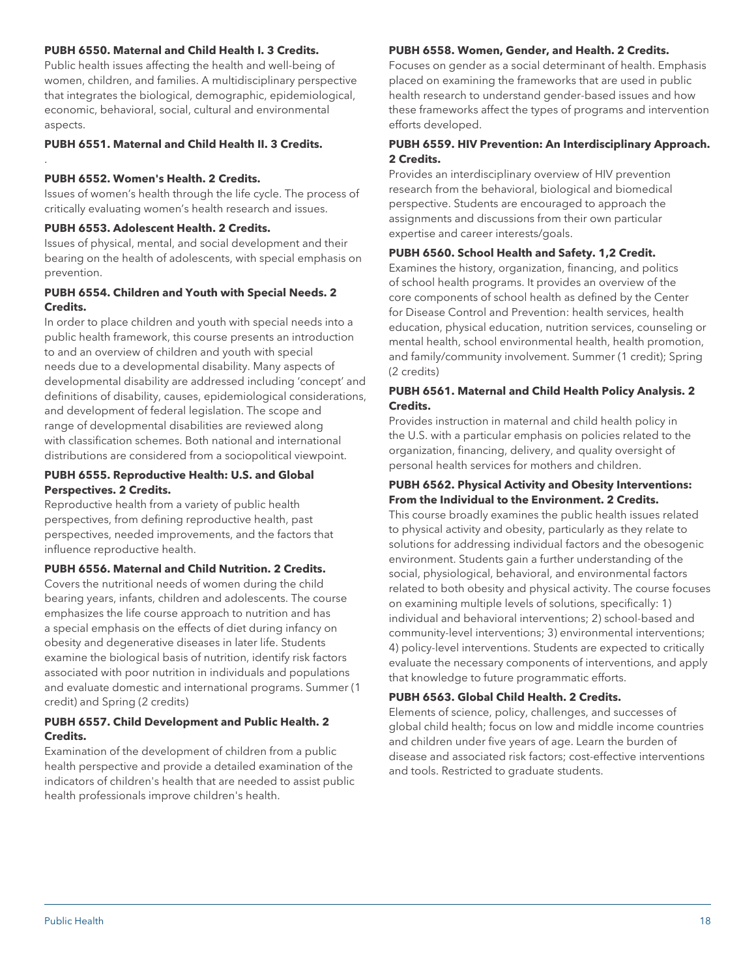#### **PUBH 6550. Maternal and Child Health I. 3 Credits.**

Public health issues affecting the health and well-being of women, children, and families. A multidisciplinary perspective that integrates the biological, demographic, epidemiological, economic, behavioral, social, cultural and environmental aspects.

**PUBH 6551. Maternal and Child Health II. 3 Credits.**

#### **PUBH 6552. Women's Health. 2 Credits.**

.

Issues of women's health through the life cycle. The process of critically evaluating women's health research and issues.

#### **PUBH 6553. Adolescent Health. 2 Credits.**

Issues of physical, mental, and social development and their bearing on the health of adolescents, with special emphasis on prevention.

## **PUBH 6554. Children and Youth with Special Needs. 2 Credits.**

In order to place children and youth with special needs into a public health framework, this course presents an introduction to and an overview of children and youth with special needs due to a developmental disability. Many aspects of developmental disability are addressed including 'concept' and definitions of disability, causes, epidemiological considerations, and development of federal legislation. The scope and range of developmental disabilities are reviewed along with classification schemes. Both national and international distributions are considered from a sociopolitical viewpoint.

#### **PUBH 6555. Reproductive Health: U.S. and Global Perspectives. 2 Credits.**

Reproductive health from a variety of public health perspectives, from defining reproductive health, past perspectives, needed improvements, and the factors that influence reproductive health.

## **PUBH 6556. Maternal and Child Nutrition. 2 Credits.**

Covers the nutritional needs of women during the child bearing years, infants, children and adolescents. The course emphasizes the life course approach to nutrition and has a special emphasis on the effects of diet during infancy on obesity and degenerative diseases in later life. Students examine the biological basis of nutrition, identify risk factors associated with poor nutrition in individuals and populations and evaluate domestic and international programs. Summer (1 credit) and Spring (2 credits)

#### **PUBH 6557. Child Development and Public Health. 2 Credits.**

Examination of the development of children from a public health perspective and provide a detailed examination of the indicators of children's health that are needed to assist public health professionals improve children's health.

#### **PUBH 6558. Women, Gender, and Health. 2 Credits.**

Focuses on gender as a social determinant of health. Emphasis placed on examining the frameworks that are used in public health research to understand gender-based issues and how these frameworks affect the types of programs and intervention efforts developed.

## **PUBH 6559. HIV Prevention: An Interdisciplinary Approach. 2 Credits.**

Provides an interdisciplinary overview of HIV prevention research from the behavioral, biological and biomedical perspective. Students are encouraged to approach the assignments and discussions from their own particular expertise and career interests/goals.

#### **PUBH 6560. School Health and Safety. 1,2 Credit.**

Examines the history, organization, financing, and politics of school health programs. It provides an overview of the core components of school health as defined by the Center for Disease Control and Prevention: health services, health education, physical education, nutrition services, counseling or mental health, school environmental health, health promotion, and family/community involvement. Summer (1 credit); Spring (2 credits)

#### **PUBH 6561. Maternal and Child Health Policy Analysis. 2 Credits.**

Provides instruction in maternal and child health policy in the U.S. with a particular emphasis on policies related to the organization, financing, delivery, and quality oversight of personal health services for mothers and children.

#### **PUBH 6562. Physical Activity and Obesity Interventions: From the Individual to the Environment. 2 Credits.**

This course broadly examines the public health issues related to physical activity and obesity, particularly as they relate to solutions for addressing individual factors and the obesogenic environment. Students gain a further understanding of the social, physiological, behavioral, and environmental factors related to both obesity and physical activity. The course focuses on examining multiple levels of solutions, specifically: 1) individual and behavioral interventions; 2) school-based and community-level interventions; 3) environmental interventions; 4) policy-level interventions. Students are expected to critically evaluate the necessary components of interventions, and apply that knowledge to future programmatic efforts.

#### **PUBH 6563. Global Child Health. 2 Credits.**

Elements of science, policy, challenges, and successes of global child health; focus on low and middle income countries and children under five years of age. Learn the burden of disease and associated risk factors; cost-effective interventions and tools. Restricted to graduate students.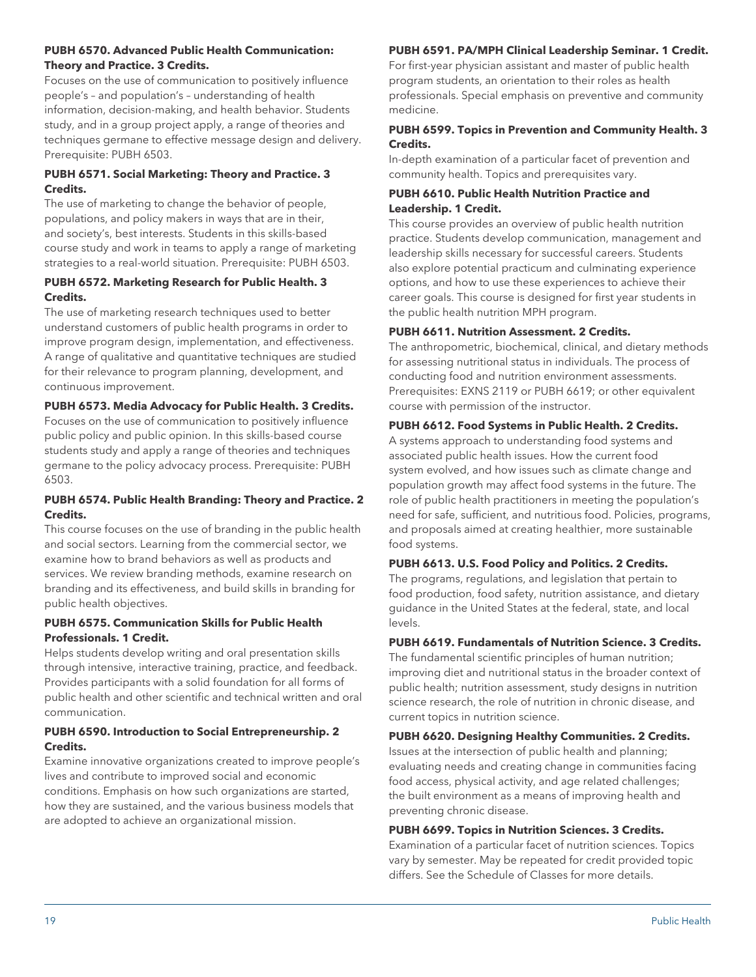#### **PUBH 6570. Advanced Public Health Communication: Theory and Practice. 3 Credits.**

Focuses on the use of communication to positively influence people's – and population's – understanding of health information, decision-making, and health behavior. Students study, and in a group project apply, a range of theories and techniques germane to effective message design and delivery. Prerequisite: PUBH 6503.

## **PUBH 6571. Social Marketing: Theory and Practice. 3 Credits.**

The use of marketing to change the behavior of people, populations, and policy makers in ways that are in their, and society's, best interests. Students in this skills-based course study and work in teams to apply a range of marketing strategies to a real-world situation. Prerequisite: PUBH 6503.

## **PUBH 6572. Marketing Research for Public Health. 3 Credits.**

The use of marketing research techniques used to better understand customers of public health programs in order to improve program design, implementation, and effectiveness. A range of qualitative and quantitative techniques are studied for their relevance to program planning, development, and continuous improvement.

## **PUBH 6573. Media Advocacy for Public Health. 3 Credits.**

Focuses on the use of communication to positively influence public policy and public opinion. In this skills-based course students study and apply a range of theories and techniques germane to the policy advocacy process. Prerequisite: PUBH 6503.

## **PUBH 6574. Public Health Branding: Theory and Practice. 2 Credits.**

This course focuses on the use of branding in the public health and social sectors. Learning from the commercial sector, we examine how to brand behaviors as well as products and services. We review branding methods, examine research on branding and its effectiveness, and build skills in branding for public health objectives.

## **PUBH 6575. Communication Skills for Public Health Professionals. 1 Credit.**

Helps students develop writing and oral presentation skills through intensive, interactive training, practice, and feedback. Provides participants with a solid foundation for all forms of public health and other scientific and technical written and oral communication.

## **PUBH 6590. Introduction to Social Entrepreneurship. 2 Credits.**

Examine innovative organizations created to improve people's lives and contribute to improved social and economic conditions. Emphasis on how such organizations are started, how they are sustained, and the various business models that are adopted to achieve an organizational mission.

# **PUBH 6591. PA/MPH Clinical Leadership Seminar. 1 Credit.**

For first-year physician assistant and master of public health program students, an orientation to their roles as health professionals. Special emphasis on preventive and community medicine.

## **PUBH 6599. Topics in Prevention and Community Health. 3 Credits.**

In-depth examination of a particular facet of prevention and community health. Topics and prerequisites vary.

## **PUBH 6610. Public Health Nutrition Practice and Leadership. 1 Credit.**

This course provides an overview of public health nutrition practice. Students develop communication, management and leadership skills necessary for successful careers. Students also explore potential practicum and culminating experience options, and how to use these experiences to achieve their career goals. This course is designed for first year students in the public health nutrition MPH program.

# **PUBH 6611. Nutrition Assessment. 2 Credits.**

The anthropometric, biochemical, clinical, and dietary methods for assessing nutritional status in individuals. The process of conducting food and nutrition environment assessments. Prerequisites: EXNS 2119 or PUBH 6619; or other equivalent course with permission of the instructor.

## **PUBH 6612. Food Systems in Public Health. 2 Credits.**

A systems approach to understanding food systems and associated public health issues. How the current food system evolved, and how issues such as climate change and population growth may affect food systems in the future. The role of public health practitioners in meeting the population's need for safe, sufficient, and nutritious food. Policies, programs, and proposals aimed at creating healthier, more sustainable food systems.

# **PUBH 6613. U.S. Food Policy and Politics. 2 Credits.**

The programs, regulations, and legislation that pertain to food production, food safety, nutrition assistance, and dietary guidance in the United States at the federal, state, and local levels.

## **PUBH 6619. Fundamentals of Nutrition Science. 3 Credits.**

The fundamental scientific principles of human nutrition; improving diet and nutritional status in the broader context of public health; nutrition assessment, study designs in nutrition science research, the role of nutrition in chronic disease, and current topics in nutrition science.

**PUBH 6620. Designing Healthy Communities. 2 Credits.**

Issues at the intersection of public health and planning; evaluating needs and creating change in communities facing food access, physical activity, and age related challenges; the built environment as a means of improving health and preventing chronic disease.

# **PUBH 6699. Topics in Nutrition Sciences. 3 Credits.**

Examination of a particular facet of nutrition sciences. Topics vary by semester. May be repeated for credit provided topic differs. See the Schedule of Classes for more details.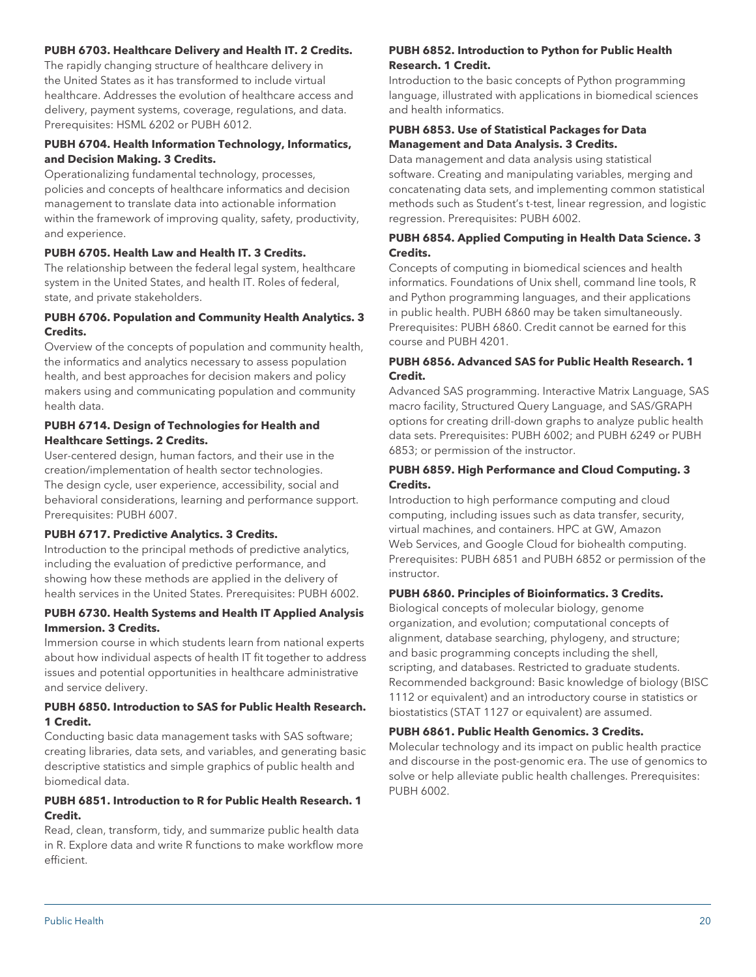## **PUBH 6703. Healthcare Delivery and Health IT. 2 Credits.**

The rapidly changing structure of healthcare delivery in the United States as it has transformed to include virtual healthcare. Addresses the evolution of healthcare access and delivery, payment systems, coverage, regulations, and data. Prerequisites: HSML 6202 or PUBH 6012.

## **PUBH 6704. Health Information Technology, Informatics, and Decision Making. 3 Credits.**

Operationalizing fundamental technology, processes, policies and concepts of healthcare informatics and decision management to translate data into actionable information within the framework of improving quality, safety, productivity, and experience.

#### **PUBH 6705. Health Law and Health IT. 3 Credits.**

The relationship between the federal legal system, healthcare system in the United States, and health IT. Roles of federal, state, and private stakeholders.

## **PUBH 6706. Population and Community Health Analytics. 3 Credits.**

Overview of the concepts of population and community health, the informatics and analytics necessary to assess population health, and best approaches for decision makers and policy makers using and communicating population and community health data.

#### **PUBH 6714. Design of Technologies for Health and Healthcare Settings. 2 Credits.**

User-centered design, human factors, and their use in the creation/implementation of health sector technologies. The design cycle, user experience, accessibility, social and behavioral considerations, learning and performance support. Prerequisites: PUBH 6007.

#### **PUBH 6717. Predictive Analytics. 3 Credits.**

Introduction to the principal methods of predictive analytics, including the evaluation of predictive performance, and showing how these methods are applied in the delivery of health services in the United States. Prerequisites: PUBH 6002.

#### **PUBH 6730. Health Systems and Health IT Applied Analysis Immersion. 3 Credits.**

Immersion course in which students learn from national experts about how individual aspects of health IT fit together to address issues and potential opportunities in healthcare administrative and service delivery.

## **PUBH 6850. Introduction to SAS for Public Health Research. 1 Credit.**

Conducting basic data management tasks with SAS software; creating libraries, data sets, and variables, and generating basic descriptive statistics and simple graphics of public health and biomedical data.

## **PUBH 6851. Introduction to R for Public Health Research. 1 Credit.**

Read, clean, transform, tidy, and summarize public health data in R. Explore data and write R functions to make workflow more efficient.

## **PUBH 6852. Introduction to Python for Public Health Research. 1 Credit.**

Introduction to the basic concepts of Python programming language, illustrated with applications in biomedical sciences and health informatics.

## **PUBH 6853. Use of Statistical Packages for Data Management and Data Analysis. 3 Credits.**

Data management and data analysis using statistical software. Creating and manipulating variables, merging and concatenating data sets, and implementing common statistical methods such as Student's t-test, linear regression, and logistic regression. Prerequisites: PUBH 6002.

## **PUBH 6854. Applied Computing in Health Data Science. 3 Credits.**

Concepts of computing in biomedical sciences and health informatics. Foundations of Unix shell, command line tools, R and Python programming languages, and their applications in public health. PUBH 6860 may be taken simultaneously. Prerequisites: PUBH 6860. Credit cannot be earned for this course and PUBH 4201.

## **PUBH 6856. Advanced SAS for Public Health Research. 1 Credit.**

Advanced SAS programming. Interactive Matrix Language, SAS macro facility, Structured Query Language, and SAS/GRAPH options for creating drill-down graphs to analyze public health data sets. Prerequisites: PUBH 6002; and PUBH 6249 or PUBH 6853; or permission of the instructor.

## **PUBH 6859. High Performance and Cloud Computing. 3 Credits.**

Introduction to high performance computing and cloud computing, including issues such as data transfer, security, virtual machines, and containers. HPC at GW, Amazon Web Services, and Google Cloud for biohealth computing. Prerequisites: PUBH 6851 and PUBH 6852 or permission of the instructor.

## **PUBH 6860. Principles of Bioinformatics. 3 Credits.**

Biological concepts of molecular biology, genome organization, and evolution; computational concepts of alignment, database searching, phylogeny, and structure; and basic programming concepts including the shell, scripting, and databases. Restricted to graduate students. Recommended background: Basic knowledge of biology (BISC 1112 or equivalent) and an introductory course in statistics or biostatistics (STAT 1127 or equivalent) are assumed.

## **PUBH 6861. Public Health Genomics. 3 Credits.**

Molecular technology and its impact on public health practice and discourse in the post-genomic era. The use of genomics to solve or help alleviate public health challenges. Prerequisites: PUBH 6002.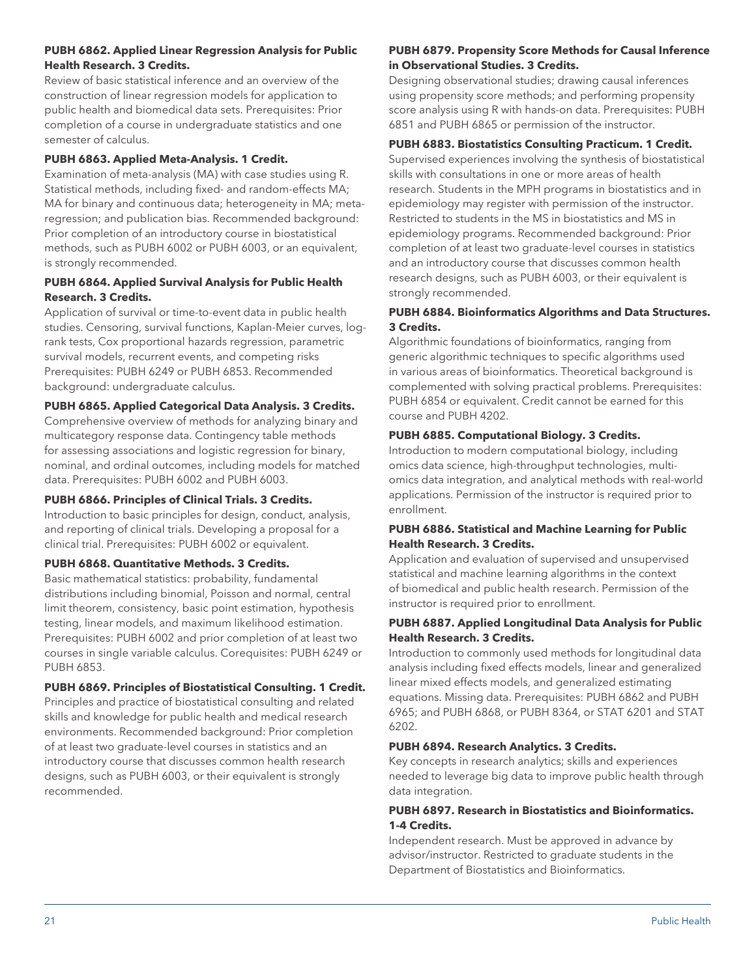## **PUBH 6862. Applied Linear Regression Analysis for Public Health Research. 3 Credits.**

Review of basic statistical inference and an overview of the construction of linear regression models for application to public health and biomedical data sets. Prerequisites: Prior completion of a course in undergraduate statistics and one semester of calculus.

## **PUBH 6863. Applied Meta-Analysis. 1 Credit.**

Examination of meta-analysis (MA) with case studies using R. Statistical methods, including fixed- and random-effects MA; MA for binary and continuous data; heterogeneity in MA; metaregression; and publication bias. Recommended background: Prior completion of an introductory course in biostatistical methods, such as PUBH 6002 or PUBH 6003, or an equivalent, is strongly recommended.

## **PUBH 6864. Applied Survival Analysis for Public Health Research. 3 Credits.**

Application of survival or time-to-event data in public health studies. Censoring, survival functions, Kaplan-Meier curves, logrank tests, Cox proportional hazards regression, parametric survival models, recurrent events, and competing risks Prerequisites: PUBH 6249 or PUBH 6853. Recommended background: undergraduate calculus.

## **PUBH 6865. Applied Categorical Data Analysis. 3 Credits.**

Comprehensive overview of methods for analyzing binary and multicategory response data. Contingency table methods for assessing associations and logistic regression for binary, nominal, and ordinal outcomes, including models for matched data. Prerequisites: PUBH 6002 and PUBH 6003.

## **PUBH 6866. Principles of Clinical Trials. 3 Credits.**

Introduction to basic principles for design, conduct, analysis, and reporting of clinical trials. Developing a proposal for a clinical trial. Prerequisites: PUBH 6002 or equivalent.

#### **PUBH 6868. Quantitative Methods. 3 Credits.**

Basic mathematical statistics: probability, fundamental distributions including binomial, Poisson and normal, central limit theorem, consistency, basic point estimation, hypothesis testing, linear models, and maximum likelihood estimation. Prerequisites: PUBH 6002 and prior completion of at least two courses in single variable calculus. Corequisites: PUBH 6249 or PUBH 6853.

#### **PUBH 6869. Principles of Biostatistical Consulting. 1 Credit.**

Principles and practice of biostatistical consulting and related skills and knowledge for public health and medical research environments. Recommended background: Prior completion of at least two graduate-level courses in statistics and an introductory course that discusses common health research designs, such as PUBH 6003, or their equivalent is strongly recommended.

#### **PUBH 6879. Propensity Score Methods for Causal Inference in Observational Studies. 3 Credits.**

Designing observational studies; drawing causal inferences using propensity score methods; and performing propensity score analysis using R with hands-on data. Prerequisites: PUBH 6851 and PUBH 6865 or permission of the instructor.

## **PUBH 6883. Biostatistics Consulting Practicum. 1 Credit.**

Supervised experiences involving the synthesis of biostatistical skills with consultations in one or more areas of health research. Students in the MPH programs in biostatistics and in epidemiology may register with permission of the instructor. Restricted to students in the MS in biostatistics and MS in epidemiology programs. Recommended background: Prior completion of at least two graduate-level courses in statistics and an introductory course that discusses common health research designs, such as PUBH 6003, or their equivalent is strongly recommended.

## **PUBH 6884. Bioinformatics Algorithms and Data Structures. 3 Credits.**

Algorithmic foundations of bioinformatics, ranging from generic algorithmic techniques to specific algorithms used in various areas of bioinformatics. Theoretical background is complemented with solving practical problems. Prerequisites: PUBH 6854 or equivalent. Credit cannot be earned for this course and PUBH 4202.

## **PUBH 6885. Computational Biology. 3 Credits.**

Introduction to modern computational biology, including omics data science, high-throughput technologies, multiomics data integration, and analytical methods with real-world applications. Permission of the instructor is required prior to enrollment.

#### **PUBH 6886. Statistical and Machine Learning for Public Health Research. 3 Credits.**

Application and evaluation of supervised and unsupervised statistical and machine learning algorithms in the context of biomedical and public health research. Permission of the instructor is required prior to enrollment.

#### **PUBH 6887. Applied Longitudinal Data Analysis for Public Health Research. 3 Credits.**

Introduction to commonly used methods for longitudinal data analysis including fixed effects models, linear and generalized linear mixed effects models, and generalized estimating equations. Missing data. Prerequisites: PUBH 6862 and PUBH 6965; and PUBH 6868, or PUBH 8364, or STAT 6201 and STAT 6202.

## **PUBH 6894. Research Analytics. 3 Credits.**

Key concepts in research analytics; skills and experiences needed to leverage big data to improve public health through data integration.

## **PUBH 6897. Research in Biostatistics and Bioinformatics. 1-4 Credits.**

Independent research. Must be approved in advance by advisor/instructor. Restricted to graduate students in the Department of Biostatistics and Bioinformatics.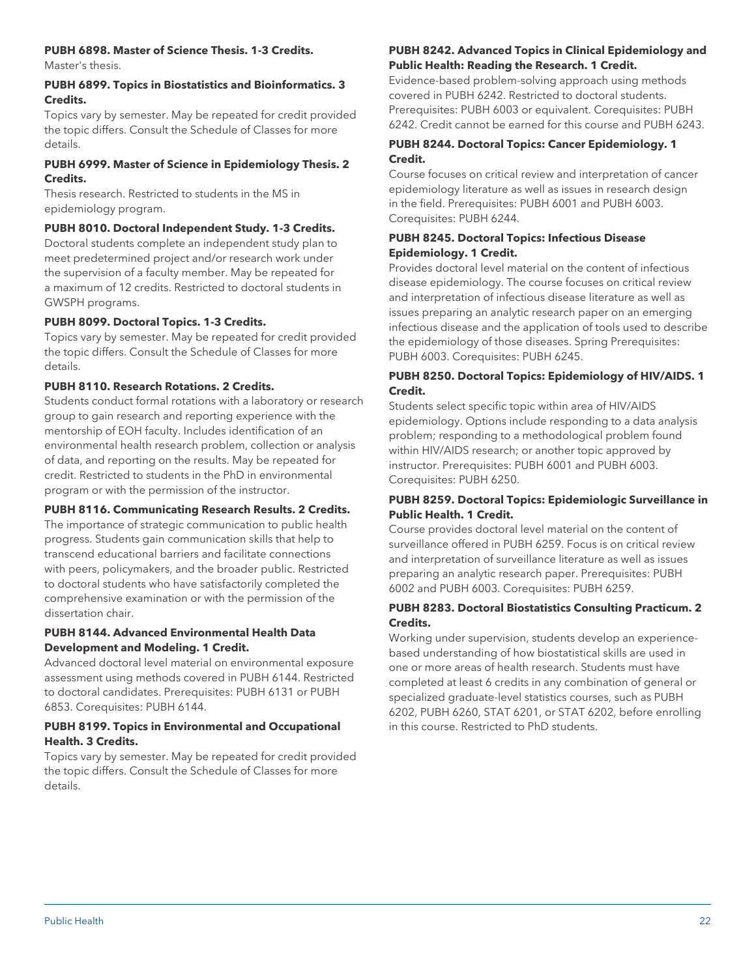## **PUBH 6898. Master of Science Thesis. 1-3 Credits.**

Master's thesis.

#### **PUBH 6899. Topics in Biostatistics and Bioinformatics. 3 Credits.**

Topics vary by semester. May be repeated for credit provided the topic differs. Consult the Schedule of Classes for more details.

## **PUBH 6999. Master of Science in Epidemiology Thesis. 2 Credits.**

Thesis research. Restricted to students in the MS in epidemiology program.

## **PUBH 8010. Doctoral Independent Study. 1-3 Credits.**

Doctoral students complete an independent study plan to meet predetermined project and/or research work under the supervision of a faculty member. May be repeated for a maximum of 12 credits. Restricted to doctoral students in GWSPH programs.

## **PUBH 8099. Doctoral Topics. 1-3 Credits.**

Topics vary by semester. May be repeated for credit provided the topic differs. Consult the Schedule of Classes for more details.

## **PUBH 8110. Research Rotations. 2 Credits.**

Students conduct formal rotations with a laboratory or research group to gain research and reporting experience with the mentorship of EOH faculty. Includes identification of an environmental health research problem, collection or analysis of data, and reporting on the results. May be repeated for credit. Restricted to students in the PhD in environmental program or with the permission of the instructor.

## **PUBH 8116. Communicating Research Results. 2 Credits.**

The importance of strategic communication to public health progress. Students gain communication skills that help to transcend educational barriers and facilitate connections with peers, policymakers, and the broader public. Restricted to doctoral students who have satisfactorily completed the comprehensive examination or with the permission of the dissertation chair.

## **PUBH 8144. Advanced Environmental Health Data Development and Modeling. 1 Credit.**

Advanced doctoral level material on environmental exposure assessment using methods covered in PUBH 6144. Restricted to doctoral candidates. Prerequisites: PUBH 6131 or PUBH 6853. Corequisites: PUBH 6144.

## **PUBH 8199. Topics in Environmental and Occupational Health. 3 Credits.**

Topics vary by semester. May be repeated for credit provided the topic differs. Consult the Schedule of Classes for more details.

## **PUBH 8242. Advanced Topics in Clinical Epidemiology and Public Health: Reading the Research. 1 Credit.**

Evidence-based problem-solving approach using methods covered in PUBH 6242. Restricted to doctoral students. Prerequisites: PUBH 6003 or equivalent. Corequisites: PUBH 6242. Credit cannot be earned for this course and PUBH 6243.

## **PUBH 8244. Doctoral Topics: Cancer Epidemiology. 1 Credit.**

Course focuses on critical review and interpretation of cancer epidemiology literature as well as issues in research design in the field. Prerequisites: PUBH 6001 and PUBH 6003. Corequisites: PUBH 6244.

## **PUBH 8245. Doctoral Topics: Infectious Disease Epidemiology. 1 Credit.**

Provides doctoral level material on the content of infectious disease epidemiology. The course focuses on critical review and interpretation of infectious disease literature as well as issues preparing an analytic research paper on an emerging infectious disease and the application of tools used to describe the epidemiology of those diseases. Spring Prerequisites: PUBH 6003. Corequisites: PUBH 6245.

## **PUBH 8250. Doctoral Topics: Epidemiology of HIV/AIDS. 1 Credit.**

Students select specific topic within area of HIV/AIDS epidemiology. Options include responding to a data analysis problem; responding to a methodological problem found within HIV/AIDS research; or another topic approved by instructor. Prerequisites: PUBH 6001 and PUBH 6003. Corequisites: PUBH 6250.

## **PUBH 8259. Doctoral Topics: Epidemiologic Surveillance in Public Health. 1 Credit.**

Course provides doctoral level material on the content of surveillance offered in PUBH 6259. Focus is on critical review and interpretation of surveillance literature as well as issues preparing an analytic research paper. Prerequisites: PUBH 6002 and PUBH 6003. Corequisites: PUBH 6259.

## **PUBH 8283. Doctoral Biostatistics Consulting Practicum. 2 Credits.**

Working under supervision, students develop an experiencebased understanding of how biostatistical skills are used in one or more areas of health research. Students must have completed at least 6 credits in any combination of general or specialized graduate-level statistics courses, such as PUBH 6202, PUBH 6260, STAT 6201, or STAT 6202, before enrolling in this course. Restricted to PhD students.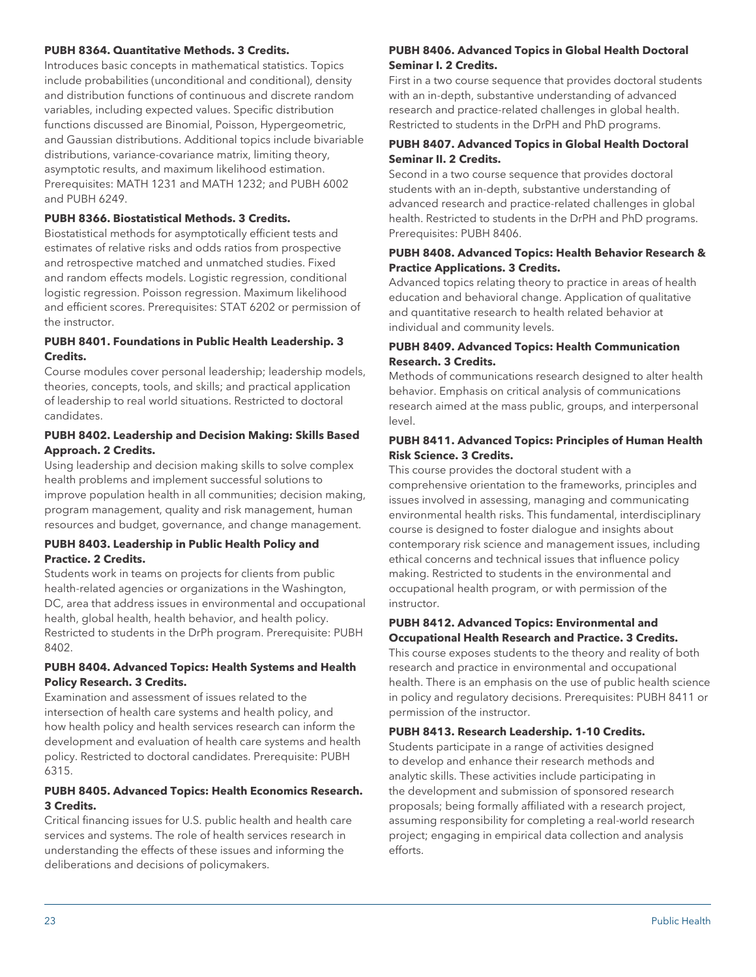#### **PUBH 8364. Quantitative Methods. 3 Credits.**

Introduces basic concepts in mathematical statistics. Topics include probabilities (unconditional and conditional), density and distribution functions of continuous and discrete random variables, including expected values. Specific distribution functions discussed are Binomial, Poisson, Hypergeometric, and Gaussian distributions. Additional topics include bivariable distributions, variance-covariance matrix, limiting theory, asymptotic results, and maximum likelihood estimation. Prerequisites: MATH 1231 and MATH 1232; and PUBH 6002 and PUBH 6249.

#### **PUBH 8366. Biostatistical Methods. 3 Credits.**

Biostatistical methods for asymptotically efficient tests and estimates of relative risks and odds ratios from prospective and retrospective matched and unmatched studies. Fixed and random effects models. Logistic regression, conditional logistic regression. Poisson regression. Maximum likelihood and efficient scores. Prerequisites: STAT 6202 or permission of the instructor.

#### **PUBH 8401. Foundations in Public Health Leadership. 3 Credits.**

Course modules cover personal leadership; leadership models, theories, concepts, tools, and skills; and practical application of leadership to real world situations. Restricted to doctoral candidates.

## **PUBH 8402. Leadership and Decision Making: Skills Based Approach. 2 Credits.**

Using leadership and decision making skills to solve complex health problems and implement successful solutions to improve population health in all communities; decision making, program management, quality and risk management, human resources and budget, governance, and change management.

#### **PUBH 8403. Leadership in Public Health Policy and Practice. 2 Credits.**

Students work in teams on projects for clients from public health-related agencies or organizations in the Washington, DC, area that address issues in environmental and occupational health, global health, health behavior, and health policy. Restricted to students in the DrPh program. Prerequisite: PUBH 8402.

## **PUBH 8404. Advanced Topics: Health Systems and Health Policy Research. 3 Credits.**

Examination and assessment of issues related to the intersection of health care systems and health policy, and how health policy and health services research can inform the development and evaluation of health care systems and health policy. Restricted to doctoral candidates. Prerequisite: PUBH 6315.

## **PUBH 8405. Advanced Topics: Health Economics Research. 3 Credits.**

Critical financing issues for U.S. public health and health care services and systems. The role of health services research in understanding the effects of these issues and informing the deliberations and decisions of policymakers.

## **PUBH 8406. Advanced Topics in Global Health Doctoral Seminar I. 2 Credits.**

First in a two course sequence that provides doctoral students with an in-depth, substantive understanding of advanced research and practice-related challenges in global health. Restricted to students in the DrPH and PhD programs.

#### **PUBH 8407. Advanced Topics in Global Health Doctoral Seminar II. 2 Credits.**

Second in a two course sequence that provides doctoral students with an in-depth, substantive understanding of advanced research and practice-related challenges in global health. Restricted to students in the DrPH and PhD programs. Prerequisites: PUBH 8406.

#### **PUBH 8408. Advanced Topics: Health Behavior Research & Practice Applications. 3 Credits.**

Advanced topics relating theory to practice in areas of health education and behavioral change. Application of qualitative and quantitative research to health related behavior at individual and community levels.

#### **PUBH 8409. Advanced Topics: Health Communication Research. 3 Credits.**

Methods of communications research designed to alter health behavior. Emphasis on critical analysis of communications research aimed at the mass public, groups, and interpersonal level.

## **PUBH 8411. Advanced Topics: Principles of Human Health Risk Science. 3 Credits.**

This course provides the doctoral student with a comprehensive orientation to the frameworks, principles and issues involved in assessing, managing and communicating environmental health risks. This fundamental, interdisciplinary course is designed to foster dialogue and insights about contemporary risk science and management issues, including ethical concerns and technical issues that influence policy making. Restricted to students in the environmental and occupational health program, or with permission of the instructor.

## **PUBH 8412. Advanced Topics: Environmental and Occupational Health Research and Practice. 3 Credits.**

This course exposes students to the theory and reality of both research and practice in environmental and occupational health. There is an emphasis on the use of public health science in policy and regulatory decisions. Prerequisites: PUBH 8411 or permission of the instructor.

## **PUBH 8413. Research Leadership. 1-10 Credits.**

Students participate in a range of activities designed to develop and enhance their research methods and analytic skills. These activities include participating in the development and submission of sponsored research proposals; being formally affiliated with a research project, assuming responsibility for completing a real-world research project; engaging in empirical data collection and analysis efforts.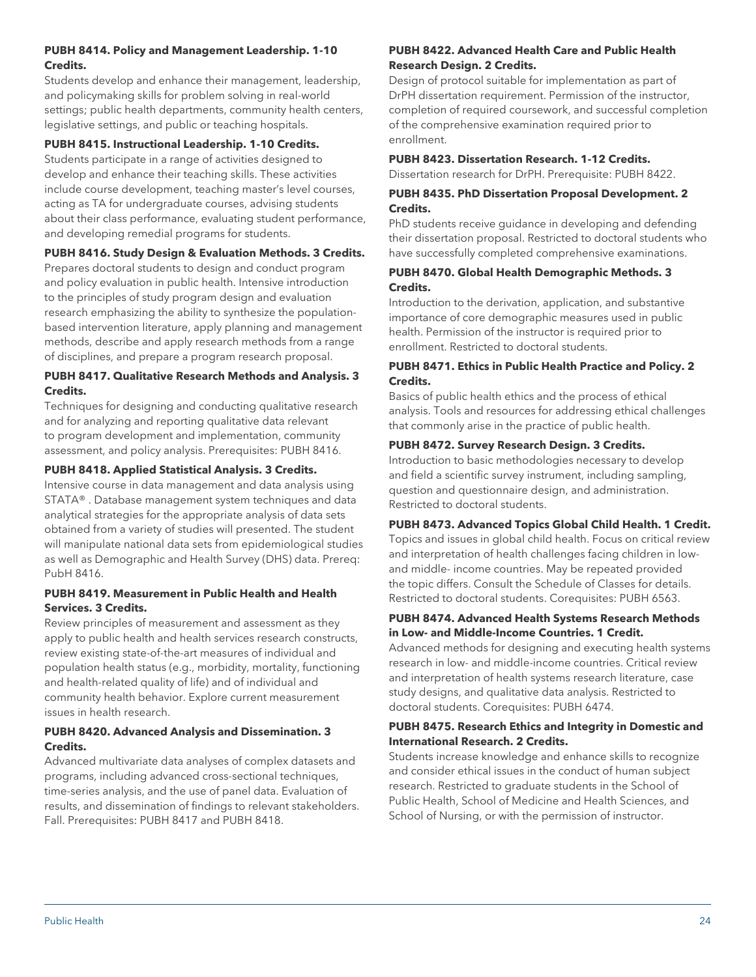## **PUBH 8414. Policy and Management Leadership. 1-10 Credits.**

Students develop and enhance their management, leadership, and policymaking skills for problem solving in real-world settings; public health departments, community health centers, legislative settings, and public or teaching hospitals.

## **PUBH 8415. Instructional Leadership. 1-10 Credits.**

Students participate in a range of activities designed to develop and enhance their teaching skills. These activities include course development, teaching master's level courses, acting as TA for undergraduate courses, advising students about their class performance, evaluating student performance, and developing remedial programs for students.

## **PUBH 8416. Study Design & Evaluation Methods. 3 Credits.**

Prepares doctoral students to design and conduct program and policy evaluation in public health. Intensive introduction to the principles of study program design and evaluation research emphasizing the ability to synthesize the populationbased intervention literature, apply planning and management methods, describe and apply research methods from a range of disciplines, and prepare a program research proposal.

#### **PUBH 8417. Qualitative Research Methods and Analysis. 3 Credits.**

Techniques for designing and conducting qualitative research and for analyzing and reporting qualitative data relevant to program development and implementation, community assessment, and policy analysis. Prerequisites: PUBH 8416.

## **PUBH 8418. Applied Statistical Analysis. 3 Credits.**

Intensive course in data management and data analysis using STATA® . Database management system techniques and data analytical strategies for the appropriate analysis of data sets obtained from a variety of studies will presented. The student will manipulate national data sets from epidemiological studies as well as Demographic and Health Survey (DHS) data. Prereq: PubH 8416.

#### **PUBH 8419. Measurement in Public Health and Health Services. 3 Credits.**

Review principles of measurement and assessment as they apply to public health and health services research constructs, review existing state-of-the-art measures of individual and population health status (e.g., morbidity, mortality, functioning and health-related quality of life) and of individual and community health behavior. Explore current measurement issues in health research.

## **PUBH 8420. Advanced Analysis and Dissemination. 3 Credits.**

Advanced multivariate data analyses of complex datasets and programs, including advanced cross-sectional techniques, time-series analysis, and the use of panel data. Evaluation of results, and dissemination of findings to relevant stakeholders. Fall. Prerequisites: PUBH 8417 and PUBH 8418.

## **PUBH 8422. Advanced Health Care and Public Health Research Design. 2 Credits.**

Design of protocol suitable for implementation as part of DrPH dissertation requirement. Permission of the instructor, completion of required coursework, and successful completion of the comprehensive examination required prior to enrollment.

## **PUBH 8423. Dissertation Research. 1-12 Credits.**

Dissertation research for DrPH. Prerequisite: PUBH 8422.

## **PUBH 8435. PhD Dissertation Proposal Development. 2 Credits.**

PhD students receive guidance in developing and defending their dissertation proposal. Restricted to doctoral students who have successfully completed comprehensive examinations.

## **PUBH 8470. Global Health Demographic Methods. 3 Credits.**

Introduction to the derivation, application, and substantive importance of core demographic measures used in public health. Permission of the instructor is required prior to enrollment. Restricted to doctoral students.

#### **PUBH 8471. Ethics in Public Health Practice and Policy. 2 Credits.**

Basics of public health ethics and the process of ethical analysis. Tools and resources for addressing ethical challenges that commonly arise in the practice of public health.

#### **PUBH 8472. Survey Research Design. 3 Credits.**

Introduction to basic methodologies necessary to develop and field a scientific survey instrument, including sampling, question and questionnaire design, and administration. Restricted to doctoral students.

#### **PUBH 8473. Advanced Topics Global Child Health. 1 Credit.**

Topics and issues in global child health. Focus on critical review and interpretation of health challenges facing children in lowand middle- income countries. May be repeated provided the topic differs. Consult the Schedule of Classes for details. Restricted to doctoral students. Corequisites: PUBH 6563.

#### **PUBH 8474. Advanced Health Systems Research Methods in Low- and Middle-Income Countries. 1 Credit.**

Advanced methods for designing and executing health systems research in low- and middle-income countries. Critical review and interpretation of health systems research literature, case study designs, and qualitative data analysis. Restricted to doctoral students. Corequisites: PUBH 6474.

## **PUBH 8475. Research Ethics and Integrity in Domestic and International Research. 2 Credits.**

Students increase knowledge and enhance skills to recognize and consider ethical issues in the conduct of human subject research. Restricted to graduate students in the School of Public Health, School of Medicine and Health Sciences, and School of Nursing, or with the permission of instructor.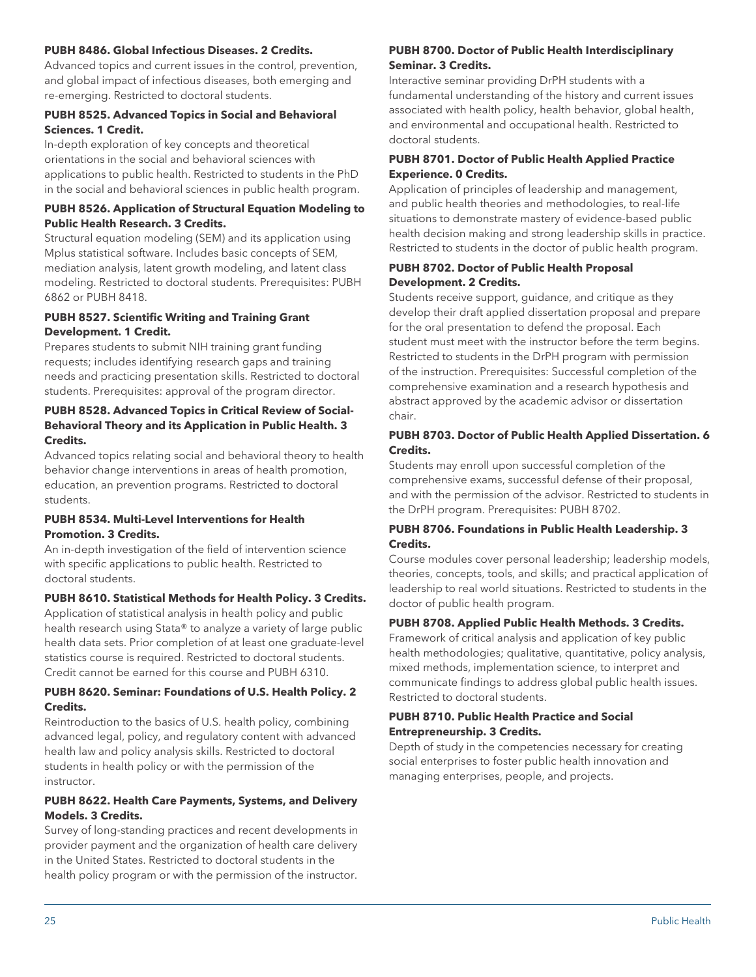#### **PUBH 8486. Global Infectious Diseases. 2 Credits.**

Advanced topics and current issues in the control, prevention, and global impact of infectious diseases, both emerging and re-emerging. Restricted to doctoral students.

#### **PUBH 8525. Advanced Topics in Social and Behavioral Sciences. 1 Credit.**

In-depth exploration of key concepts and theoretical orientations in the social and behavioral sciences with applications to public health. Restricted to students in the PhD in the social and behavioral sciences in public health program.

#### **PUBH 8526. Application of Structural Equation Modeling to Public Health Research. 3 Credits.**

Structural equation modeling (SEM) and its application using Mplus statistical software. Includes basic concepts of SEM, mediation analysis, latent growth modeling, and latent class modeling. Restricted to doctoral students. Prerequisites: PUBH 6862 or PUBH 8418.

#### **PUBH 8527. Scientific Writing and Training Grant Development. 1 Credit.**

Prepares students to submit NIH training grant funding requests; includes identifying research gaps and training needs and practicing presentation skills. Restricted to doctoral students. Prerequisites: approval of the program director.

## **PUBH 8528. Advanced Topics in Critical Review of Social-Behavioral Theory and its Application in Public Health. 3 Credits.**

Advanced topics relating social and behavioral theory to health behavior change interventions in areas of health promotion, education, an prevention programs. Restricted to doctoral students.

#### **PUBH 8534. Multi-Level Interventions for Health Promotion. 3 Credits.**

An in-depth investigation of the field of intervention science with specific applications to public health. Restricted to doctoral students.

## **PUBH 8610. Statistical Methods for Health Policy. 3 Credits.**

Application of statistical analysis in health policy and public health research using Stata® to analyze a variety of large public health data sets. Prior completion of at least one graduate-level statistics course is required. Restricted to doctoral students. Credit cannot be earned for this course and PUBH 6310.

## **PUBH 8620. Seminar: Foundations of U.S. Health Policy. 2 Credits.**

Reintroduction to the basics of U.S. health policy, combining advanced legal, policy, and regulatory content with advanced health law and policy analysis skills. Restricted to doctoral students in health policy or with the permission of the instructor.

## **PUBH 8622. Health Care Payments, Systems, and Delivery Models. 3 Credits.**

Survey of long-standing practices and recent developments in provider payment and the organization of health care delivery in the United States. Restricted to doctoral students in the health policy program or with the permission of the instructor.

#### **PUBH 8700. Doctor of Public Health Interdisciplinary Seminar. 3 Credits.**

Interactive seminar providing DrPH students with a fundamental understanding of the history and current issues associated with health policy, health behavior, global health, and environmental and occupational health. Restricted to doctoral students.

#### **PUBH 8701. Doctor of Public Health Applied Practice Experience. 0 Credits.**

Application of principles of leadership and management, and public health theories and methodologies, to real-life situations to demonstrate mastery of evidence-based public health decision making and strong leadership skills in practice. Restricted to students in the doctor of public health program.

#### **PUBH 8702. Doctor of Public Health Proposal Development. 2 Credits.**

Students receive support, guidance, and critique as they develop their draft applied dissertation proposal and prepare for the oral presentation to defend the proposal. Each student must meet with the instructor before the term begins. Restricted to students in the DrPH program with permission of the instruction. Prerequisites: Successful completion of the comprehensive examination and a research hypothesis and abstract approved by the academic advisor or dissertation chair.

## **PUBH 8703. Doctor of Public Health Applied Dissertation. 6 Credits.**

Students may enroll upon successful completion of the comprehensive exams, successful defense of their proposal, and with the permission of the advisor. Restricted to students in the DrPH program. Prerequisites: PUBH 8702.

## **PUBH 8706. Foundations in Public Health Leadership. 3 Credits.**

Course modules cover personal leadership; leadership models, theories, concepts, tools, and skills; and practical application of leadership to real world situations. Restricted to students in the doctor of public health program.

#### **PUBH 8708. Applied Public Health Methods. 3 Credits.**

Framework of critical analysis and application of key public health methodologies; qualitative, quantitative, policy analysis, mixed methods, implementation science, to interpret and communicate findings to address global public health issues. Restricted to doctoral students.

#### **PUBH 8710. Public Health Practice and Social Entrepreneurship. 3 Credits.**

Depth of study in the competencies necessary for creating social enterprises to foster public health innovation and managing enterprises, people, and projects.